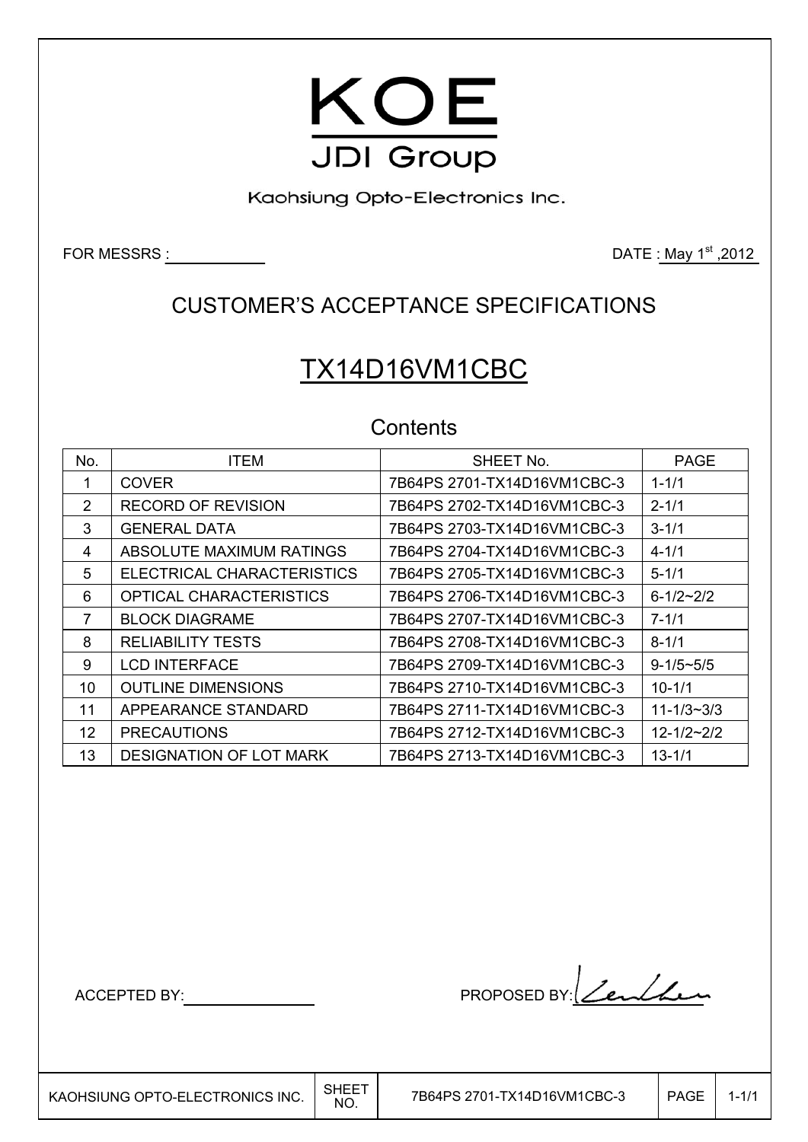

Kaohsiung Opto-Electronics Inc.

FOR MESSRS  $\underline{\hspace{1cm}}$  2012

## CUSTOMER'S ACCEPTANCE SPECIFICATIONS

# TX14D16VM1CBC

### **Contents**

| No. | <b>ITEM</b>                | SHEET No.                   | <b>PAGE</b>        |
|-----|----------------------------|-----------------------------|--------------------|
|     | <b>COVER</b>               | 7B64PS 2701-TX14D16VM1CBC-3 | $1 - 1/1$          |
| 2   | <b>RECORD OF REVISION</b>  | 7B64PS 2702-TX14D16VM1CBC-3 | $2 - 1/1$          |
| 3   | <b>GENERAL DATA</b>        | 7B64PS 2703-TX14D16VM1CBC-3 | $3 - 1/1$          |
| 4   | ABSOLUTE MAXIMUM RATINGS   | 7B64PS 2704-TX14D16VM1CBC-3 | $4 - 1/1$          |
| 5   | ELECTRICAL CHARACTERISTICS | 7B64PS 2705-TX14D16VM1CBC-3 | $5 - 1/1$          |
| 6   | OPTICAL CHARACTERISTICS    | 7B64PS 2706-TX14D16VM1CBC-3 | $6 - 1/2 \sim 2/2$ |
| 7   | <b>BLOCK DIAGRAME</b>      | 7B64PS 2707-TX14D16VM1CBC-3 | $7 - 1/1$          |
| 8   | <b>RELIABILITY TESTS</b>   | 7B64PS 2708-TX14D16VM1CBC-3 | $8 - 1/1$          |
| 9   | <b>LCD INTERFACE</b>       | 7B64PS 2709-TX14D16VM1CBC-3 | $9 - 1/5 \sim 5/5$ |
| 10  | <b>OUTLINE DIMENSIONS</b>  | 7B64PS 2710-TX14D16VM1CBC-3 | $10 - 1/1$         |
| 11  | APPEARANCE STANDARD        | 7B64PS 2711-TX14D16VM1CBC-3 | $11 - 1/3 - 3/3$   |
| 12  | <b>PRECAUTIONS</b>         | 7B64PS 2712-TX14D16VM1CBC-3 | $12 - 1/2 - 2/2$   |
| 13  | DESIGNATION OF LOT MARK    | 7B64PS 2713-TX14D16VM1CBC-3 | $13 - 1/1$         |

ACCEPTED BY: PROPOSED BY: <u>Lenlin</u>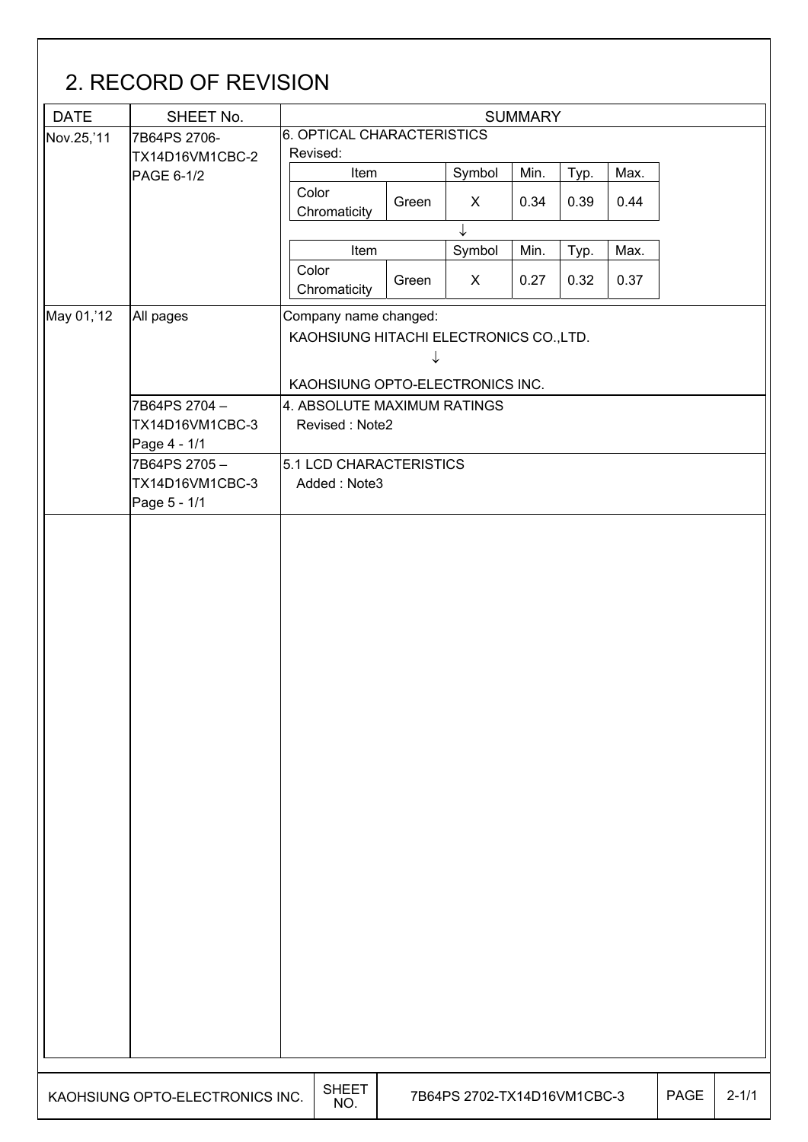| <b>DATE</b> | SHEET No.                       | <b>SUMMARY</b>                          |                |              |      |      |      |  |  |
|-------------|---------------------------------|-----------------------------------------|----------------|--------------|------|------|------|--|--|
| Nov.25,'11  | 7B64PS 2706-                    | 6. OPTICAL CHARACTERISTICS              |                |              |      |      |      |  |  |
|             | TX14D16VM1CBC-2                 | Revised:                                |                |              |      |      |      |  |  |
|             | PAGE 6-1/2                      | Item<br>Color                           |                | Symbol       | Min. | Typ. | Max. |  |  |
|             |                                 | Chromaticity                            | Green          | X            | 0.34 | 0.39 | 0.44 |  |  |
|             |                                 |                                         |                | $\downarrow$ |      |      |      |  |  |
|             |                                 | Item                                    |                | Symbol       | Min. | Typ. | Max. |  |  |
|             |                                 | Color                                   | Green          | $\mathsf{X}$ | 0.27 | 0.32 | 0.37 |  |  |
|             |                                 | Chromaticity                            |                |              |      |      |      |  |  |
| May 01, 12  | All pages                       | Company name changed:                   |                |              |      |      |      |  |  |
|             |                                 | KAOHSIUNG HITACHI ELECTRONICS CO., LTD. |                |              |      |      |      |  |  |
|             |                                 |                                         | ↓              |              |      |      |      |  |  |
|             |                                 | KAOHSIUNG OPTO-ELECTRONICS INC.         |                |              |      |      |      |  |  |
|             | 7B64PS 2704-                    | 4. ABSOLUTE MAXIMUM RATINGS             |                |              |      |      |      |  |  |
|             | TX14D16VM1CBC-3<br>Page 4 - 1/1 |                                         | Revised: Note2 |              |      |      |      |  |  |
|             | 7B64PS 2705-                    | 5.1 LCD CHARACTERISTICS                 |                |              |      |      |      |  |  |
|             | TX14D16VM1CBC-3                 | Added: Note3                            |                |              |      |      |      |  |  |
|             | Page 5 - 1/1                    |                                         |                |              |      |      |      |  |  |
|             |                                 |                                         |                |              |      |      |      |  |  |
|             |                                 |                                         |                |              |      |      |      |  |  |
|             |                                 |                                         |                |              |      |      |      |  |  |
|             |                                 |                                         |                |              |      |      |      |  |  |
|             |                                 |                                         |                |              |      |      |      |  |  |
|             |                                 |                                         |                |              |      |      |      |  |  |
|             |                                 |                                         |                |              |      |      |      |  |  |
|             |                                 |                                         |                |              |      |      |      |  |  |
|             |                                 |                                         |                |              |      |      |      |  |  |
|             |                                 |                                         |                |              |      |      |      |  |  |
|             |                                 |                                         |                |              |      |      |      |  |  |
|             |                                 |                                         |                |              |      |      |      |  |  |
|             |                                 |                                         |                |              |      |      |      |  |  |
|             |                                 |                                         |                |              |      |      |      |  |  |
|             |                                 |                                         |                |              |      |      |      |  |  |
|             |                                 |                                         |                |              |      |      |      |  |  |
|             |                                 |                                         |                |              |      |      |      |  |  |
|             |                                 |                                         |                |              |      |      |      |  |  |
|             |                                 |                                         |                |              |      |      |      |  |  |
|             |                                 |                                         |                |              |      |      |      |  |  |
|             |                                 |                                         |                |              |      |      |      |  |  |
|             |                                 |                                         |                |              |      |      |      |  |  |
|             |                                 |                                         |                |              |      |      |      |  |  |
|             |                                 |                                         |                |              |      |      |      |  |  |
|             |                                 |                                         |                |              |      |      |      |  |  |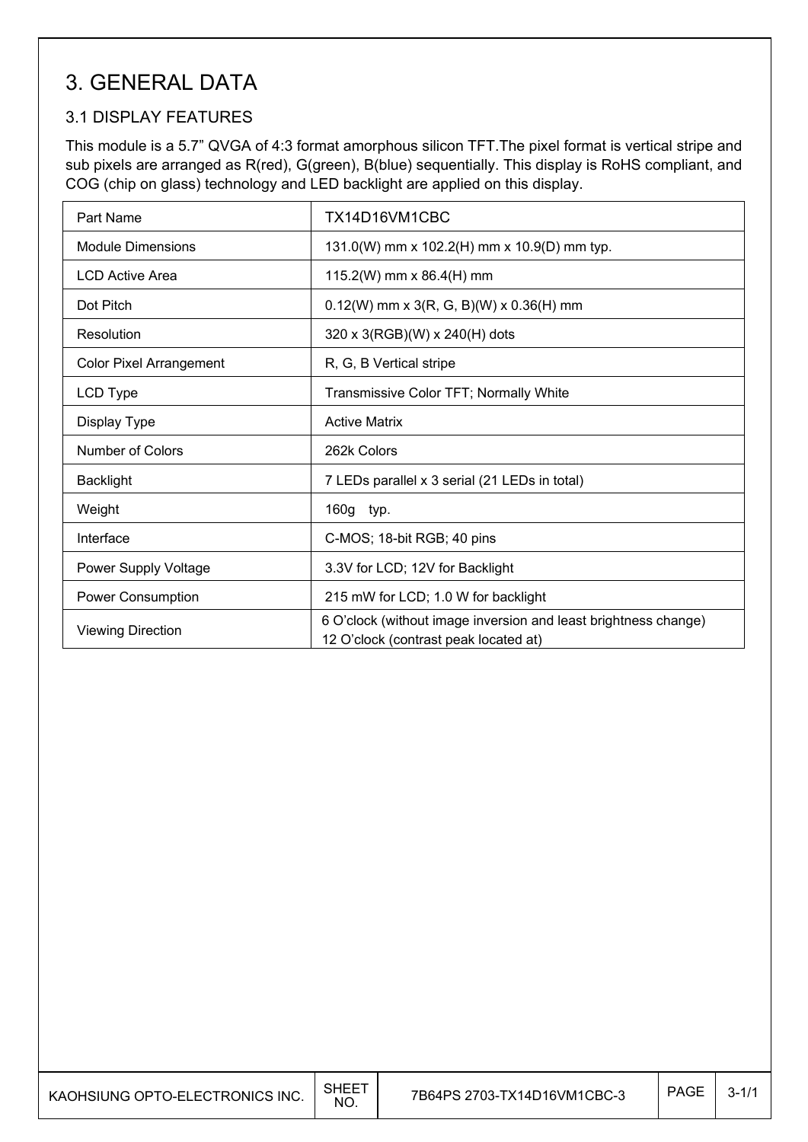## 3. GENERAL DATA

### 3.1 DISPLAY FEATURES

 $\mathsf{I}$ 

This module is a 5.7" QVGA of 4:3 format amorphous silicon TFT.The pixel format is vertical stripe and sub pixels are arranged as R(red), G(green), B(blue) sequentially. This display is RoHS compliant, and COG (chip on glass) technology and LED backlight are applied on this display.

| Part Name                      | TX14D16VM1CBC                                                                                            |
|--------------------------------|----------------------------------------------------------------------------------------------------------|
| Module Dimensions              | 131.0(W) mm x 102.2(H) mm x 10.9(D) mm typ.                                                              |
| <b>LCD Active Area</b>         | 115.2(W) mm x 86.4(H) mm                                                                                 |
| Dot Pitch                      | $0.12(W)$ mm x 3(R, G, B)(W) x 0.36(H) mm                                                                |
| Resolution                     | 320 x 3(RGB)(W) x 240(H) dots                                                                            |
| <b>Color Pixel Arrangement</b> | R, G, B Vertical stripe                                                                                  |
| LCD Type                       | Transmissive Color TFT; Normally White                                                                   |
| Display Type                   | <b>Active Matrix</b>                                                                                     |
| Number of Colors               | 262k Colors                                                                                              |
| <b>Backlight</b>               | 7 LEDs parallel x 3 serial (21 LEDs in total)                                                            |
| Weight                         | 160g typ.                                                                                                |
| Interface                      | C-MOS; 18-bit RGB; 40 pins                                                                               |
| Power Supply Voltage           | 3.3V for LCD; 12V for Backlight                                                                          |
| <b>Power Consumption</b>       | 215 mW for LCD; 1.0 W for backlight                                                                      |
| <b>Viewing Direction</b>       | 6 O'clock (without image inversion and least brightness change)<br>12 O'clock (contrast peak located at) |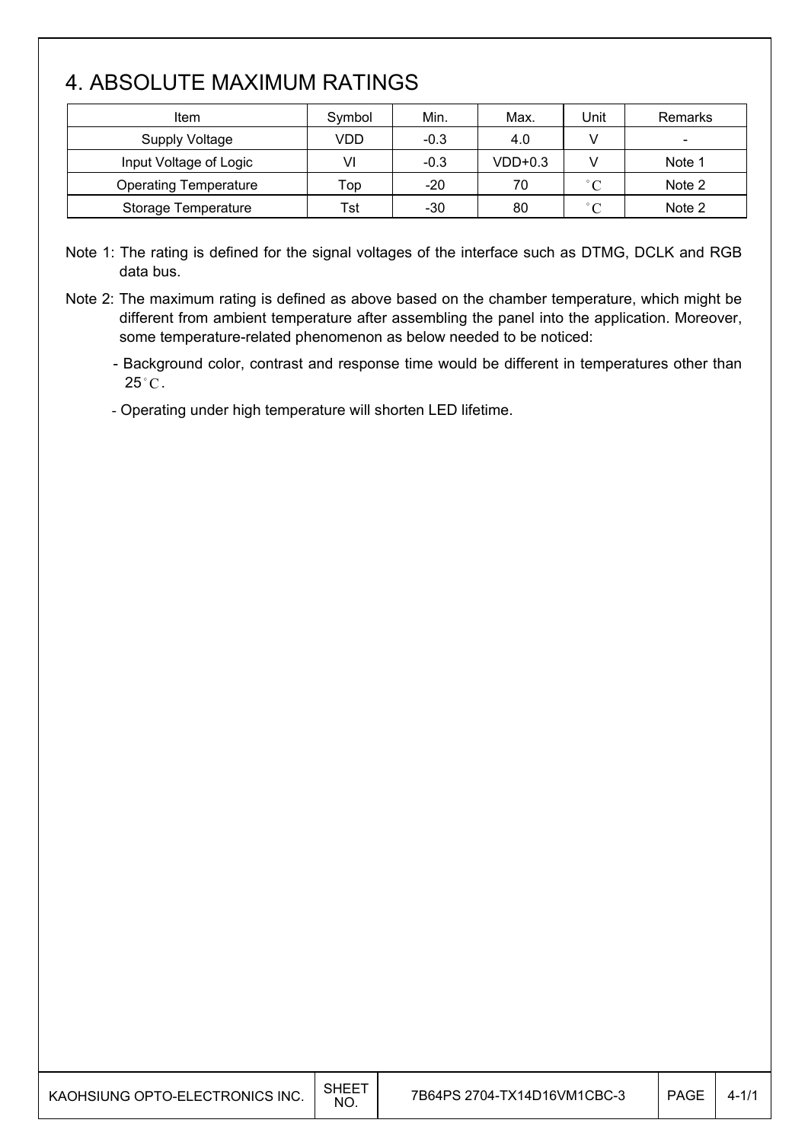## 4. ABSOLUTE MAXIMUM RATINGS

 $\mathsf{I}$ 

| Item                         | Symbol | Min.   | Max.      | Jnit              | Remarks                      |
|------------------------------|--------|--------|-----------|-------------------|------------------------------|
| Supply Voltage               | VDD    | $-0.3$ | 4.0       |                   | $\qquad \qquad \blacksquare$ |
| Input Voltage of Logic       | VI     | $-0.3$ | $VDD+0.3$ |                   | Note 1                       |
| <b>Operating Temperature</b> | Top    | $-20$  | 70        | $^{\circ}$ C      | Note 2                       |
| Storage Temperature          | Tst    | -30    | 80        | $^{\circ}$ $\cap$ | Note 2                       |

Note 1: The rating is defined for the signal voltages of the interface such as DTMG, DCLK and RGB data bus.

Note 2: The maximum rating is defined as above based on the chamber temperature, which might be different from ambient temperature after assembling the panel into the application. Moreover, some temperature-related phenomenon as below needed to be noticed:

- Background color, contrast and response time would be different in temperatures other than  $25^{\circ}$ C.

- Operating under high temperature will shorten LED lifetime.

| SHEET<br>KAOHSIUNG OPTO-ELECTRONICS INC.<br>NO. | 7B64PS 2704-TX14D16VM1CBC-3 | PAGE | $4 - 1/1$ |
|-------------------------------------------------|-----------------------------|------|-----------|
|-------------------------------------------------|-----------------------------|------|-----------|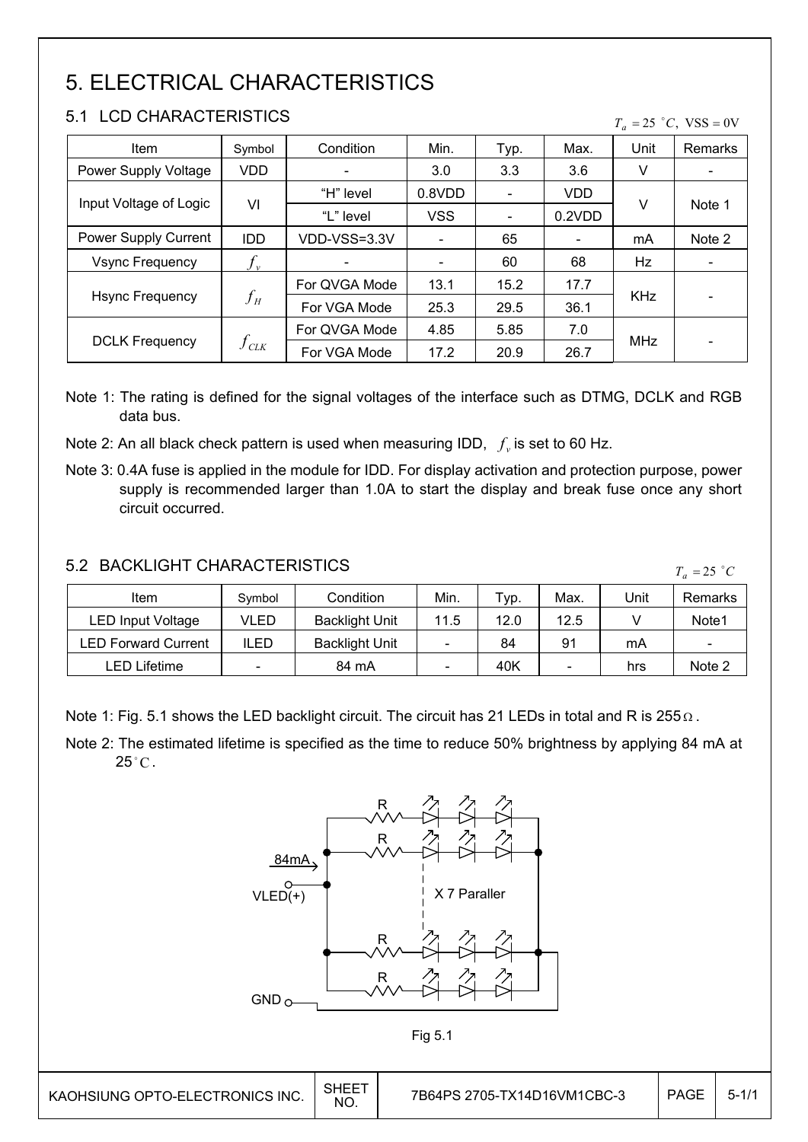## 5. ELECTRICAL CHARACTERISTICS

### 5.1 LCD CHARACTERISTICS

|  | $T_a = 25$ °C, VSS = 0V |  |
|--|-------------------------|--|
|  |                         |  |

| <b>Item</b>            | Symbol                  | Condition     | Min.       | Typ.                     | Max.       | Unit       | Remarks |
|------------------------|-------------------------|---------------|------------|--------------------------|------------|------------|---------|
| Power Supply Voltage   | <b>VDD</b>              |               | 3.0        | 3.3                      | 3.6        | v          |         |
|                        |                         | "H" level     | 0.8VDD     | $\overline{\phantom{a}}$ | <b>VDD</b> |            |         |
| Input Voltage of Logic | VI                      | "L" level     | <b>VSS</b> | $\overline{\phantom{a}}$ | 0.2VDD     | v          | Note 1  |
| Power Supply Current   | <b>IDD</b>              | VDD-VSS=3.3V  |            | 65                       |            | mA         | Note 2  |
| <b>Vsync Frequency</b> | $f_{\rm v}$             |               |            | 60                       | 68         | Hz         |         |
|                        | $f_H^{}$                | For QVGA Mode | 13.1       | 15.2                     | 17.7       |            |         |
| <b>Hsync Frequency</b> |                         | For VGA Mode  | 25.3       | 29.5                     | 36.1       | <b>KHz</b> |         |
|                        |                         | For QVGA Mode | 4.85       | 5.85                     | 7.0        |            |         |
| <b>DCLK Frequency</b>  | $f_{\text{\tiny{CLK}}}$ | For VGA Mode  | 17.2       | 20.9                     | 26.7       | <b>MHz</b> |         |

Note 1: The rating is defined for the signal voltages of the interface such as DTMG, DCLK and RGB data bus.

Note 2: An all black check pattern is used when measuring IDD,  $f_v$  is set to 60 Hz.

Note 3: 0.4A fuse is applied in the module for IDD. For display activation and protection purpose, power supply is recommended larger than 1.0A to start the display and break fuse once any short circuit occurred.

### 5.2 BACKLIGHT CHARACTERISTICS

 $T_a = 25$  °C

| Item                | Symbol | Condition             | Min. | Typ. | Max. | Unit | Remarks                      |
|---------------------|--------|-----------------------|------|------|------|------|------------------------------|
| LED Input Voltage   | VLED   | <b>Backlight Unit</b> | 11.5 | 12.0 | 12.5 |      | Note1                        |
| LED Forward Current | ILED   | <b>Backlight Unit</b> |      | 84   | 91   | mA   | $\qquad \qquad \blacksquare$ |
| LED Lifetime        |        | 84 mA                 |      | 40K  |      | hrs  | Note 2                       |

Note 1: Fig. 5.1 shows the LED backlight circuit. The circuit has 21 LEDs in total and R is  $255\Omega$ .

Note 2: The estimated lifetime is specified as the time to reduce 50% brightness by applying 84 mA at  $25^{\circ}$ C.





 $\overline{\phantom{a}}$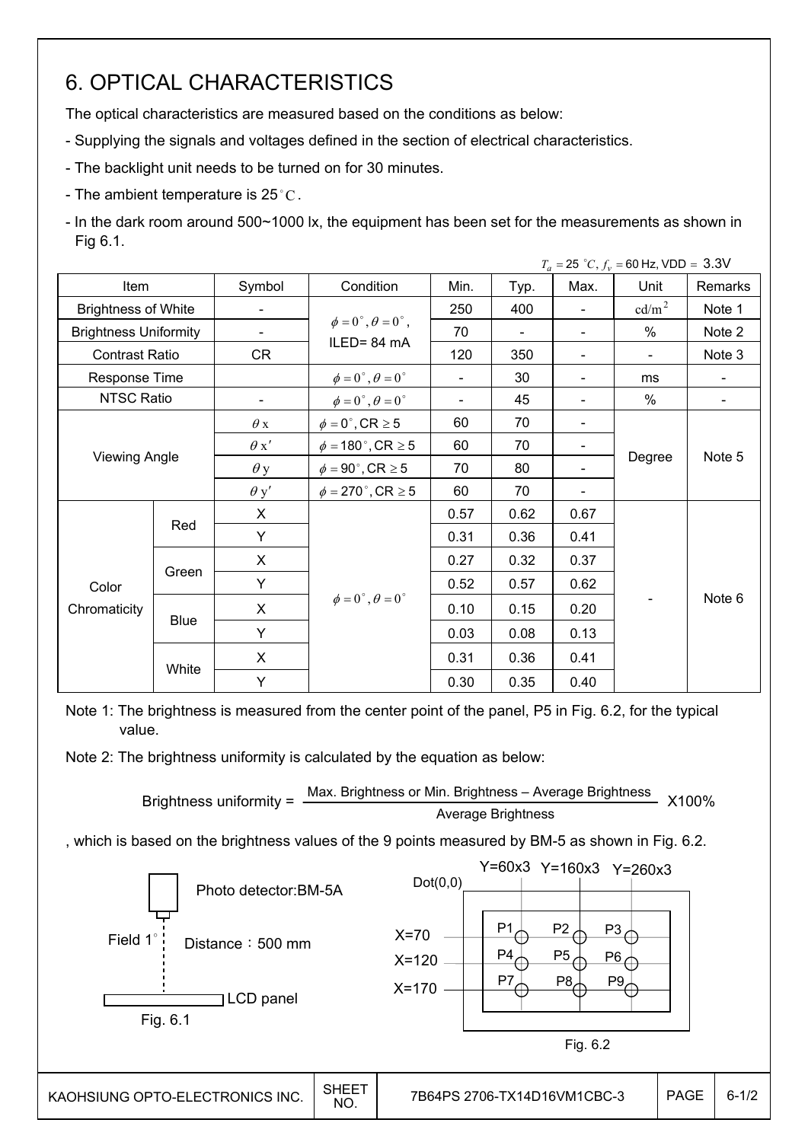## 6. OPTICAL CHARACTERISTICS

The optical characteristics are measured based on the conditions as below:

- Supplying the signals and voltages defined in the section of electrical characteristics.
- The backlight unit needs to be turned on for 30 minutes.
- The ambient temperature is  $25^{\circ}$ C.

- In the dark room around 500~1000 lx, the equipment has been set for the measurements as shown in Fig 6.1.

|                              |             |                |                                          |                          |      |                              | $T_a = 25 °C, f_v = 60$ Hz, VDD = 3.3V |         |  |
|------------------------------|-------------|----------------|------------------------------------------|--------------------------|------|------------------------------|----------------------------------------|---------|--|
| Item                         |             | Symbol         | Condition                                | Min.                     | Typ. | Max.                         | Unit                                   | Remarks |  |
| <b>Brightness of White</b>   |             | $\blacksquare$ |                                          | 250                      | 400  | $\overline{\phantom{0}}$     | cd/m <sup>2</sup>                      | Note 1  |  |
| <b>Brightness Uniformity</b> |             | $\blacksquare$ | $\phi = 0^{\circ}, \theta = 0^{\circ}$ , | 70                       |      | $\overline{\phantom{a}}$     | $\%$                                   | Note 2  |  |
| <b>Contrast Ratio</b>        |             | CR             | ILED=84 mA                               | 120                      | 350  | $\qquad \qquad \blacksquare$ |                                        | Note 3  |  |
| Response Time                |             |                | $\phi = 0^{\circ}, \theta = 0^{\circ}$   | $\overline{\phantom{0}}$ | 30   | $\qquad \qquad \blacksquare$ | ms                                     |         |  |
| NTSC Ratio                   |             |                | $\phi = 0^{\circ}, \theta = 0^{\circ}$   | $\overline{\phantom{0}}$ | 45   |                              | %                                      |         |  |
|                              |             |                | $\phi = 0^\circ$ , CR $\geq 5$           | 60                       | 70   |                              |                                        |         |  |
|                              |             |                | $\phi = 180$ °, CR $\geq 5$              | 60                       | 70   |                              |                                        |         |  |
| <b>Viewing Angle</b>         |             | $\theta$ y     | $\phi = 90^\circ$ , CR $\geq 5$          | 70                       | 80   |                              | Degree                                 | Note 5  |  |
|                              |             | $\theta$ y'    | $\phi = 270$ °, CR $\geq 5$              | 60                       | 70   |                              |                                        |         |  |
|                              |             | X              |                                          | 0.57                     | 0.62 | 0.67                         |                                        |         |  |
|                              | Red         | Y              |                                          | 0.31                     | 0.36 | 0.41                         |                                        |         |  |
|                              |             | $\mathsf{X}$   |                                          | 0.27                     | 0.32 | 0.37                         |                                        |         |  |
| Color                        | Green       | Y              |                                          | 0.52                     | 0.57 | 0.62                         |                                        | Note 6  |  |
| Chromaticity                 |             | X              | $\phi = 0^\circ$ , $\theta = 0^\circ$    | 0.10                     | 0.15 | 0.20                         |                                        |         |  |
|                              | <b>Blue</b> | Y              |                                          | 0.03                     | 0.08 | 0.13                         |                                        |         |  |
|                              |             | X              |                                          | 0.31                     | 0.36 | 0.41                         |                                        |         |  |
|                              | White       | Y              |                                          | 0.30                     | 0.35 | 0.40                         |                                        |         |  |

Note 1: The brightness is measured from the center point of the panel, P5 in Fig. 6.2, for the typical value.

Note 2: The brightness uniformity is calculated by the equation as below:

Brightness uniformity = 
$$
\frac{\text{Max.}_{\text{Brightness or Min.}_{\text{Brightness} - \text{Average}_{\text{Brightness}}}}{\text{Average_{\text{Brightness}}}}
$$

, which is based on the brightness values of the 9 points measured by BM-5 as shown in Fig. 6.2.

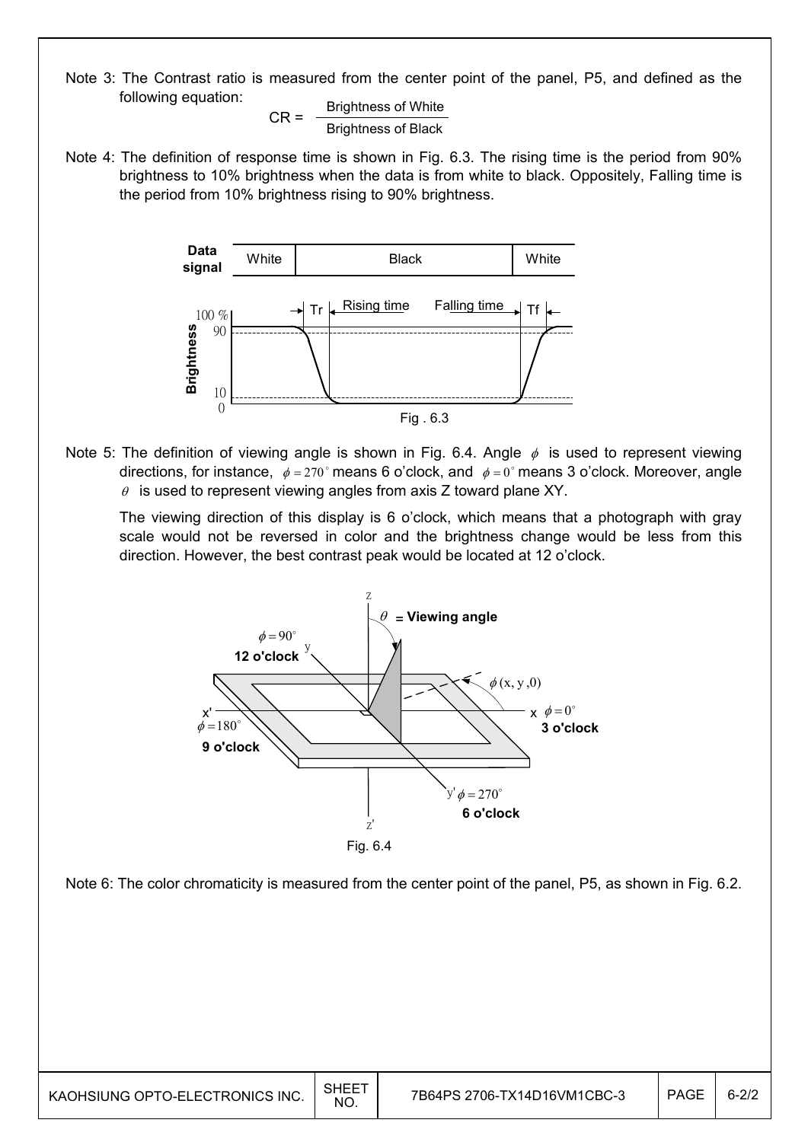Note 3: The Contrast ratio is measured from the center point of the panel, P5, and defined as the following equation:

 $CR =$  Brightness of White Brightness of Black

Note 4: The definition of response time is shown in Fig. 6.3. The rising time is the period from 90% brightness to 10% brightness when the data is from white to black. Oppositely, Falling time is the period from 10% brightness rising to 90% brightness.



Note 5: The definition of viewing angle is shown in Fig. 6.4. Angle  $\phi$  is used to represent viewing directions, for instance,  $\phi = 270^\circ$  means 6 o'clock, and  $\phi = 0^\circ$  means 3 o'clock. Moreover, angle  $\theta$  is used to represent viewing angles from axis Z toward plane XY.

 The viewing direction of this display is 6 o'clock, which means that a photograph with gray scale would not be reversed in color and the brightness change would be less from this direction. However, the best contrast peak would be located at 12 o'clock.



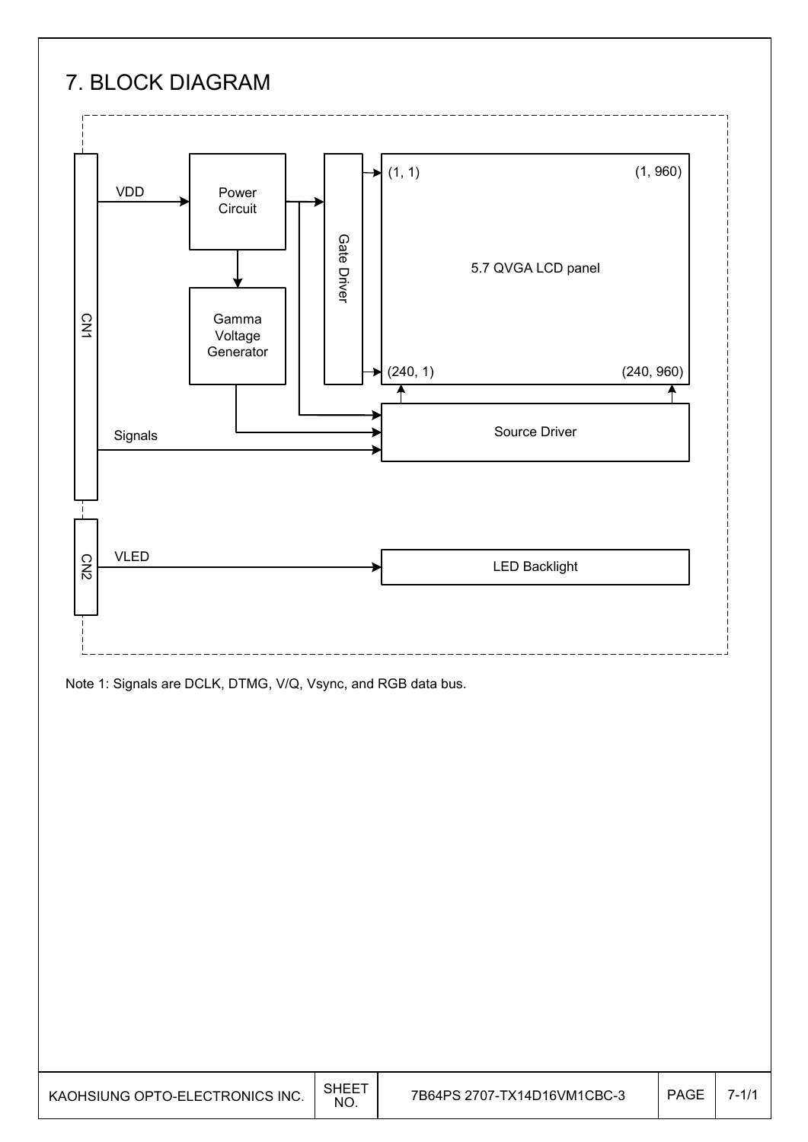## 7. BLOCK DIAGRAM



Note 1: Signals are DCLK, DTMG, V/Q, Vsync, and RGB data bus.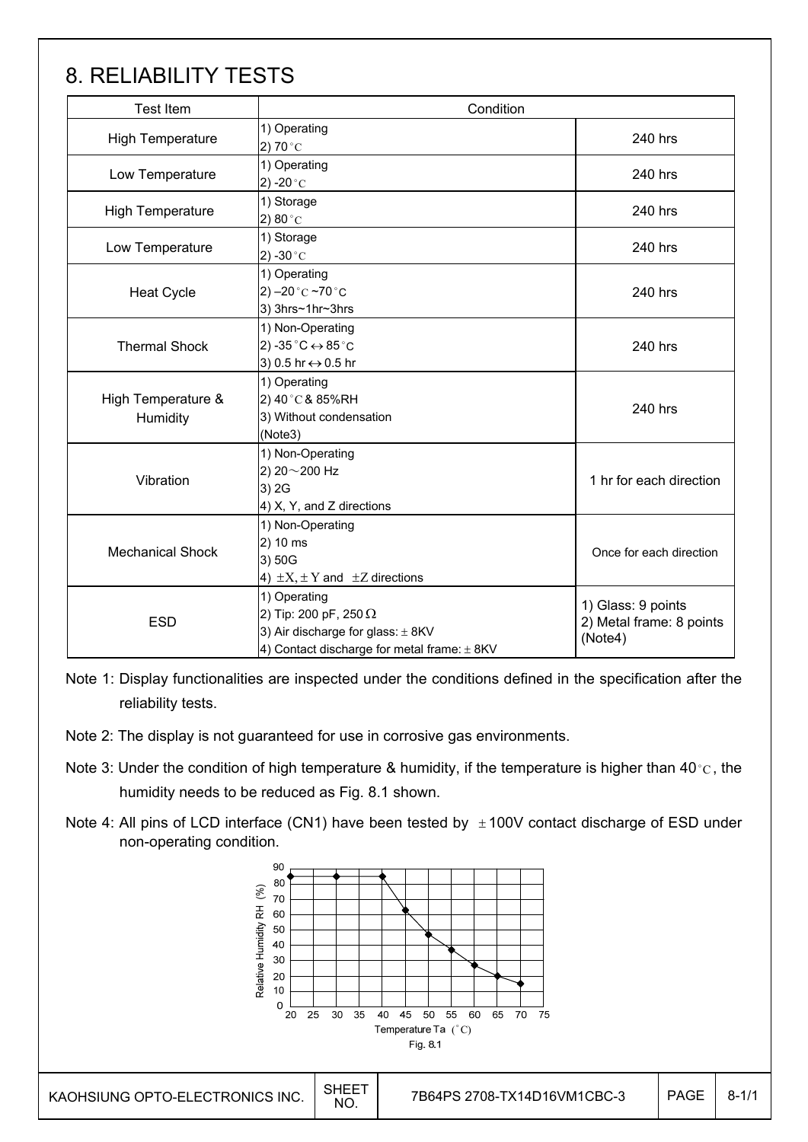## 8. RELIABILITY TESTS

| <b>Test Item</b>               | Condition                                                                                                                                |                                                           |
|--------------------------------|------------------------------------------------------------------------------------------------------------------------------------------|-----------------------------------------------------------|
| <b>High Temperature</b>        | 1) Operating<br>2) 70 $^{\circ}$ C                                                                                                       | 240 hrs                                                   |
| Low Temperature                | 1) Operating<br>2) -20 $^{\circ}$ C                                                                                                      | 240 hrs                                                   |
| <b>High Temperature</b>        | 1) Storage<br>2) 80 $^{\circ}$ C                                                                                                         | 240 hrs                                                   |
| Low Temperature                | 1) Storage<br>2) -30 $^{\circ}$ C                                                                                                        | 240 hrs                                                   |
| <b>Heat Cycle</b>              | 1) Operating<br>2) $-20 °C$ ~70 °C<br>3) 3hrs~1hr~3hrs                                                                                   | 240 hrs                                                   |
| <b>Thermal Shock</b>           | 1) Non-Operating<br>2) -35 $^{\circ}$ C $\leftrightarrow$ 85 $^{\circ}$ C<br>3) 0.5 hr ↔ 0.5 hr                                          | 240 hrs                                                   |
| High Temperature &<br>Humidity | 1) Operating<br>2) 40°C& 85%RH<br>3) Without condensation<br>(Note3)                                                                     | 240 hrs                                                   |
| Vibration                      | 1) Non-Operating<br>2) 20~200 Hz<br>3) 2G<br>4) X, Y, and Z directions                                                                   | 1 hr for each direction                                   |
| <b>Mechanical Shock</b>        | 1) Non-Operating<br>2) 10 ms<br>3) 50G<br>4) $\pm X$ , $\pm Y$ and $\pm Z$ directions                                                    | Once for each direction                                   |
| <b>ESD</b>                     | 1) Operating<br>2) Tip: 200 pF, 250 $\Omega$<br>3) Air discharge for glass: $\pm$ 8KV<br>4) Contact discharge for metal frame: $\pm$ 8KV | 1) Glass: 9 points<br>2) Metal frame: 8 points<br>(Note4) |

Note 1: Display functionalities are inspected under the conditions defined in the specification after the reliability tests.

- Note 2: The display is not guaranteed for use in corrosive gas environments.
- Note 3: Under the condition of high temperature & humidity, if the temperature is higher than 40 °C, the humidity needs to be reduced as Fig. 8.1 shown.
- Note 4: All pins of LCD interface (CN1) have been tested by  $\pm$  100V contact discharge of ESD under non-operating condition.

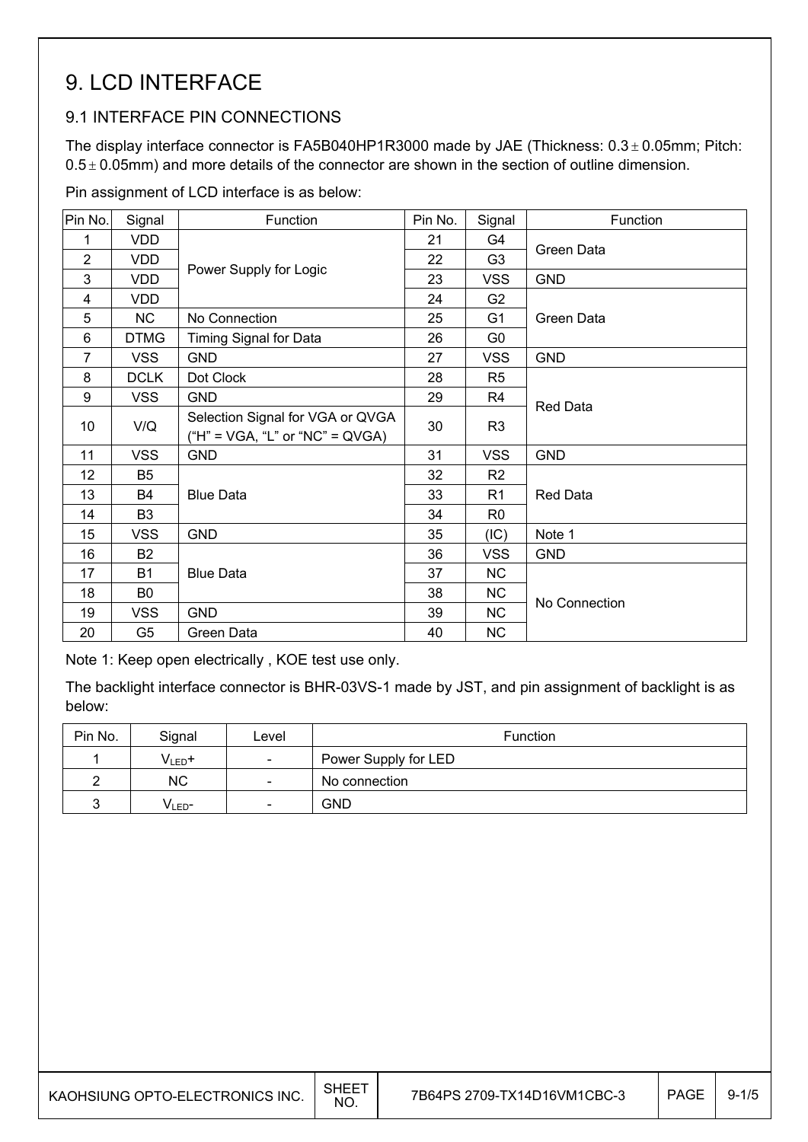## 9. LCD INTERFACE

### 9.1 INTERFACE PIN CONNECTIONS

The display interface connector is FA5B040HP1R3000 made by JAE (Thickness:  $0.3 \pm 0.05$ mm; Pitch:  $0.5 \pm 0.05$ mm) and more details of the connector are shown in the section of outline dimension.

Pin assignment of LCD interface is as below:

| Pin No.        | Signal         | Function                                                              | Pin No. | Signal         | Function        |  |
|----------------|----------------|-----------------------------------------------------------------------|---------|----------------|-----------------|--|
| 1              | <b>VDD</b>     |                                                                       | 21      | G4             |                 |  |
| $\overline{2}$ | <b>VDD</b>     |                                                                       | 22      | G <sub>3</sub> | Green Data      |  |
| 3              | <b>VDD</b>     | Power Supply for Logic                                                | 23      | <b>VSS</b>     | <b>GND</b>      |  |
| 4              | <b>VDD</b>     |                                                                       | 24      | G <sub>2</sub> |                 |  |
| 5              | <b>NC</b>      | No Connection                                                         | 25      | G <sub>1</sub> | Green Data      |  |
| 6              | <b>DTMG</b>    | Timing Signal for Data                                                | 26      | G0             |                 |  |
| $\overline{7}$ | <b>VSS</b>     | <b>GND</b>                                                            | 27      | <b>VSS</b>     | <b>GND</b>      |  |
| 8              | <b>DCLK</b>    | Dot Clock                                                             | 28      | R <sub>5</sub> |                 |  |
| 9              | <b>VSS</b>     | <b>GND</b>                                                            | 29      | R <sub>4</sub> | <b>Red Data</b> |  |
| 10             | V/Q            | Selection Signal for VGA or QVGA<br>$("H" = VGA, "L" or "NC" = QVGA)$ | 30      | R <sub>3</sub> |                 |  |
| 11             | <b>VSS</b>     | <b>GND</b>                                                            | 31      | <b>VSS</b>     | <b>GND</b>      |  |
| 12             | B <sub>5</sub> |                                                                       | 32      | R2             |                 |  |
| 13             | B4             | <b>Blue Data</b>                                                      | 33      | R <sub>1</sub> | <b>Red Data</b> |  |
| 14             | B <sub>3</sub> |                                                                       | 34      | R <sub>0</sub> |                 |  |
| 15             | <b>VSS</b>     | <b>GND</b>                                                            | 35      | (IC)           | Note 1          |  |
| 16             | <b>B2</b>      |                                                                       | 36      | <b>VSS</b>     | <b>GND</b>      |  |
| 17             | <b>B1</b>      | <b>Blue Data</b>                                                      | 37      | <b>NC</b>      |                 |  |
| 18             | B0             |                                                                       | 38      | NC             | No Connection   |  |
| 19             | <b>VSS</b>     | <b>GND</b>                                                            | 39      | <b>NC</b>      |                 |  |
| 20             | G <sub>5</sub> | Green Data                                                            | 40      | <b>NC</b>      |                 |  |

Note 1: Keep open electrically , KOE test use only.

The backlight interface connector is BHR-03VS-1 made by JST, and pin assignment of backlight is as below:

| Pin No. | Signal             | Level                    | <b>Function</b>      |
|---------|--------------------|--------------------------|----------------------|
|         | $V_{LED}$ +        | $\overline{\phantom{a}}$ | Power Supply for LED |
|         | <b>NC</b>          | $\overline{\phantom{0}}$ | No connection        |
|         | V <sub>LED</sub> - | $\overline{\phantom{a}}$ | <b>GND</b>           |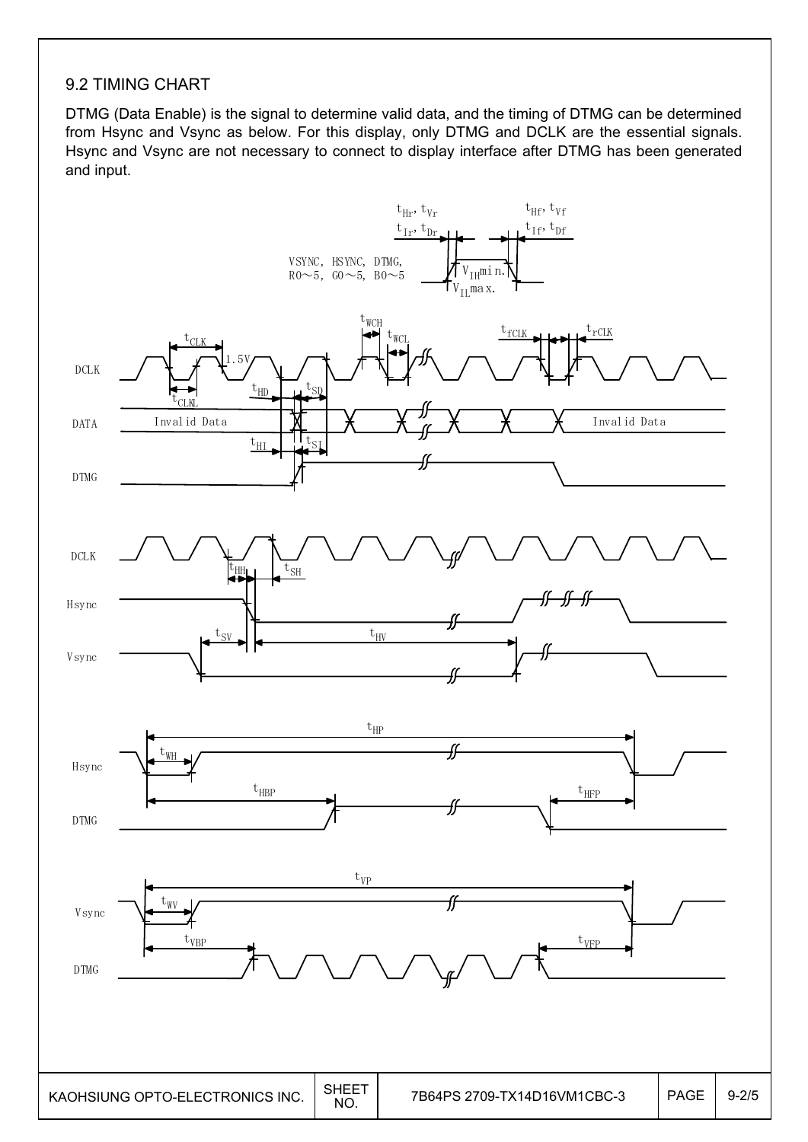#### 9.2 TIMING CHART

DTMG (Data Enable) is the signal to determine valid data, and the timing of DTMG can be determined from Hsync and Vsync as below. For this display, only DTMG and DCLK are the essential signals. Hsync and Vsync are not necessary to connect to display interface after DTMG has been generated and input.

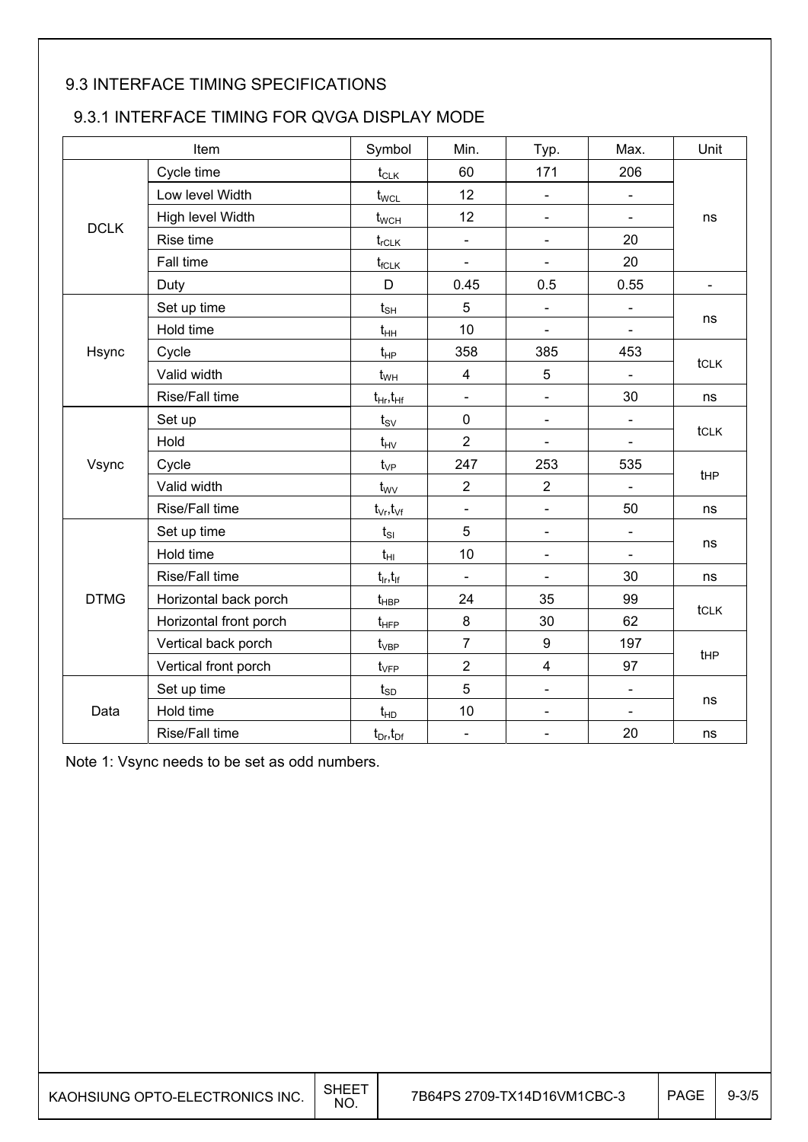### 9.3 INTERFACE TIMING SPECIFICATIONS

### 9.3.1 INTERFACE TIMING FOR QVGA DISPLAY MODE

| Item        |                        | Symbol                   | Min.                         | Typ.                         | Max.                         | Unit           |  |
|-------------|------------------------|--------------------------|------------------------------|------------------------------|------------------------------|----------------|--|
|             | Cycle time             | $t_{CLK}$                | 60                           | 171                          | 206                          |                |  |
|             | Low level Width        | $t_{\text{WCL}}$         | 12                           | $\blacksquare$               | $\blacksquare$               |                |  |
|             | High level Width       | $t_{\text{WCH}}$         | 12                           | $\blacksquare$               |                              | ns             |  |
| <b>DCLK</b> | Rise time              | $t_{rCLK}$               | $\frac{1}{2}$                | $\blacksquare$               | 20                           |                |  |
|             | Fall time              | $t_{fCLK}$               | $\overline{a}$               | $\overline{a}$               | 20                           |                |  |
|             | Duty                   | D                        | 0.45                         | 0.5                          | 0.55                         | $\blacksquare$ |  |
|             | Set up time            | $t_{\text{SH}}$          | 5                            | $\blacksquare$               | $\overline{\phantom{0}}$     |                |  |
|             | Hold time              | $t_{HH}$                 | 10                           | $\blacksquare$               | $\blacksquare$               | ns             |  |
| Hsync       | Cycle                  | $t_{HP}$                 | 358                          | 385                          | 453                          |                |  |
|             | Valid width            | $t_{WH}$                 | $\overline{\mathbf{4}}$      | 5                            |                              | tCLK           |  |
|             | Rise/Fall time         | $t_{\rm Hr}, t_{\rm Hf}$ | $\blacksquare$               | $\frac{1}{2}$                | 30                           | ns             |  |
|             | Set up                 | $t_{\rm SV}$             | $\pmb{0}$                    | $\blacksquare$               | $\qquad \qquad \blacksquare$ |                |  |
|             | Hold                   | $t_{HV}$                 | $\overline{2}$               | $\overline{\phantom{a}}$     | $\overline{a}$               | tclk           |  |
| Vsync       | Cycle                  | $t_{VP}$                 | 247                          | 253                          | 535                          |                |  |
|             | Valid width            | $t_{\rm WV}$             | $\mathbf 2$                  | $\boldsymbol{2}$             |                              | tHP            |  |
|             | Rise/Fall time         | $t_{\vee r}, t_{\vee f}$ | $\blacksquare$               | $\frac{1}{2}$                | 50                           | ns             |  |
|             | Set up time            | $t_{SI}$                 | 5                            | $\blacksquare$               |                              |                |  |
|             | Hold time              | $t_{HI}$                 | 10                           | $\blacksquare$               |                              | ns             |  |
|             | Rise/Fall time         | $t_{ir}$ , $t_{if}$      | $\blacksquare$               | $\blacksquare$               | 30                           | ns             |  |
| <b>DTMG</b> | Horizontal back porch  | $t_{\rm HBP}$            | 24                           | 35                           | 99                           | tclk           |  |
|             | Horizontal front porch | $t_{\text{HFP}}$         | 8                            | 30                           | 62                           |                |  |
|             | Vertical back porch    | $t_{\rm VBP}$            | $\overline{7}$               | 9                            | 197                          | tHP            |  |
|             | Vertical front porch   | $t_{\rm VFP}$            | $\overline{2}$               | $\overline{\mathbf{4}}$      | 97                           |                |  |
|             | Set up time            | $t_{SD}$                 | 5                            | $\blacksquare$               | $\overline{\phantom{a}}$     |                |  |
| Data        | Hold time              | $t_{HD}$                 | 10                           | $\overline{\phantom{0}}$     | $\blacksquare$               | ns             |  |
|             | Rise/Fall time         | $t_{Dr}$ , $t_{Dr}$      | $\qquad \qquad \blacksquare$ | $\qquad \qquad \blacksquare$ | 20                           | ns             |  |

Note 1: Vsync needs to be set as odd numbers.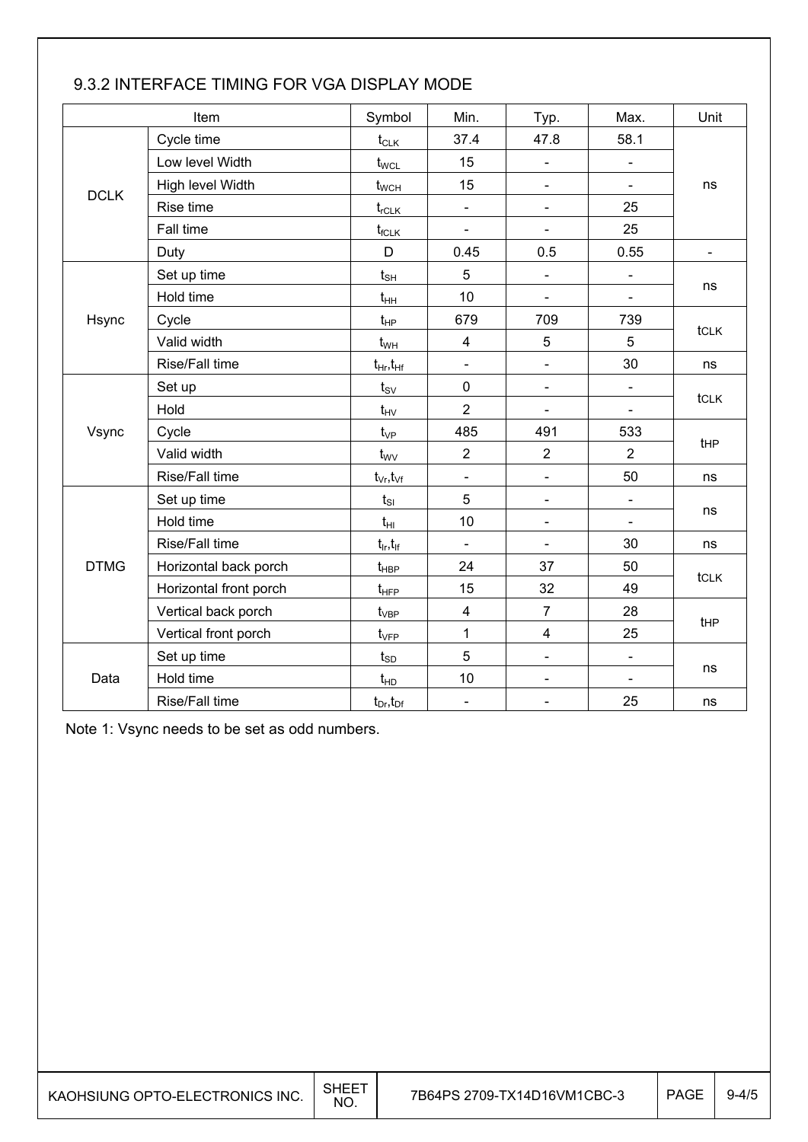|             | Item                   |                                 | Min.                         | Typ.                     | Max.                     | Unit           |  |
|-------------|------------------------|---------------------------------|------------------------------|--------------------------|--------------------------|----------------|--|
|             | Cycle time             | $t_{CLK}$                       | 37.4                         | 47.8                     | 58.1                     |                |  |
|             | Low level Width        | $t_{\text{WCL}}$                | 15                           | $\blacksquare$           | ÷,                       |                |  |
|             | High level Width       | $t_{\scriptscriptstyle\rm WCH}$ | 15                           | $\overline{\phantom{0}}$ | $\blacksquare$           | ns             |  |
| <b>DCLK</b> | Rise time              | $t_{rCLK}$                      | $\overline{\phantom{0}}$     | $\blacksquare$           | 25                       |                |  |
|             | Fall time              | $t_{fCLK}$                      | $\blacksquare$               | $\blacksquare$           | 25                       |                |  |
|             | Duty                   | D                               | 0.45                         | 0.5                      | 0.55                     | $\blacksquare$ |  |
|             | Set up time            | $t_{s\underline{H}}$            | 5                            | $\overline{\phantom{a}}$ | $\blacksquare$           |                |  |
|             | Hold time              | $t_{HH}$                        | 10                           | $\blacksquare$           | ÷                        | ns             |  |
| Hsync       | Cycle                  | $t_{HP}$                        | 679                          | 709                      | 739                      |                |  |
|             | Valid width            | $t_{WH}$                        | $\overline{\mathbf{4}}$      | 5                        | 5                        | tclk           |  |
|             | Rise/Fall time         | $t_{Hr}$ , $t_{Hf}$             | $\frac{1}{2}$                | $\frac{1}{2}$            | 30                       | ns             |  |
|             | Set up                 | $t_{\rm SV}$                    | $\mathbf 0$                  | $\blacksquare$           | $\overline{\phantom{0}}$ |                |  |
|             | Hold                   | $t_{HV}$                        | $\overline{2}$               | $\blacksquare$           |                          | tcLK           |  |
| Vsync       | Cycle                  | $t_{VP}$                        | 485                          | 491                      | 533                      | tHP            |  |
|             | Valid width            | $t_{\rm WV}$                    | $\overline{2}$               | $\mathbf 2$              | $\overline{2}$           |                |  |
|             | Rise/Fall time         | $t_{\vee r}, t_{\vee f}$        | $\overline{\phantom{a}}$     | $\blacksquare$           | 50                       | ns             |  |
|             | Set up time            | $t_{SI}$                        | 5                            | $\blacksquare$           | L,                       |                |  |
|             | Hold time              | $t_{\text{HI}}$                 | 10                           | $\blacksquare$           | $\blacksquare$           | ns             |  |
|             | Rise/Fall time         | $t_{ir}$ , $t_{if}$             | $\blacksquare$               | $\blacksquare$           | 30                       | ns             |  |
| <b>DTMG</b> | Horizontal back porch  | $t_{\sf HBP}$                   | 24                           | 37                       | 50                       | tcLK           |  |
|             | Horizontal front porch | $t_{HFP}$                       | 15                           | 32                       | 49                       |                |  |
|             | Vertical back porch    | $t_{VBP}$                       | $\overline{\mathbf{4}}$      | $\overline{7}$           | 28                       | <b>tHP</b>     |  |
|             | Vertical front porch   | $t_{\rm VFP}$                   | 1                            | $\overline{\mathbf{4}}$  | 25                       |                |  |
|             | Set up time            | $t_{SD}$                        | 5                            | $\blacksquare$           | $\overline{\phantom{0}}$ |                |  |
| Data        | Hold time              | $t_{HD}$                        | 10                           | $\blacksquare$           | $\blacksquare$           | ns             |  |
|             | Rise/Fall time         | $t_{Dr}$ , $t_{Dr}$             | $\qquad \qquad \blacksquare$ | $\overline{\phantom{a}}$ | 25                       | ns             |  |

### 9.3.2 INTERFACE TIMING FOR VGA DISPLAY MODE

Note 1: Vsync needs to be set as odd numbers.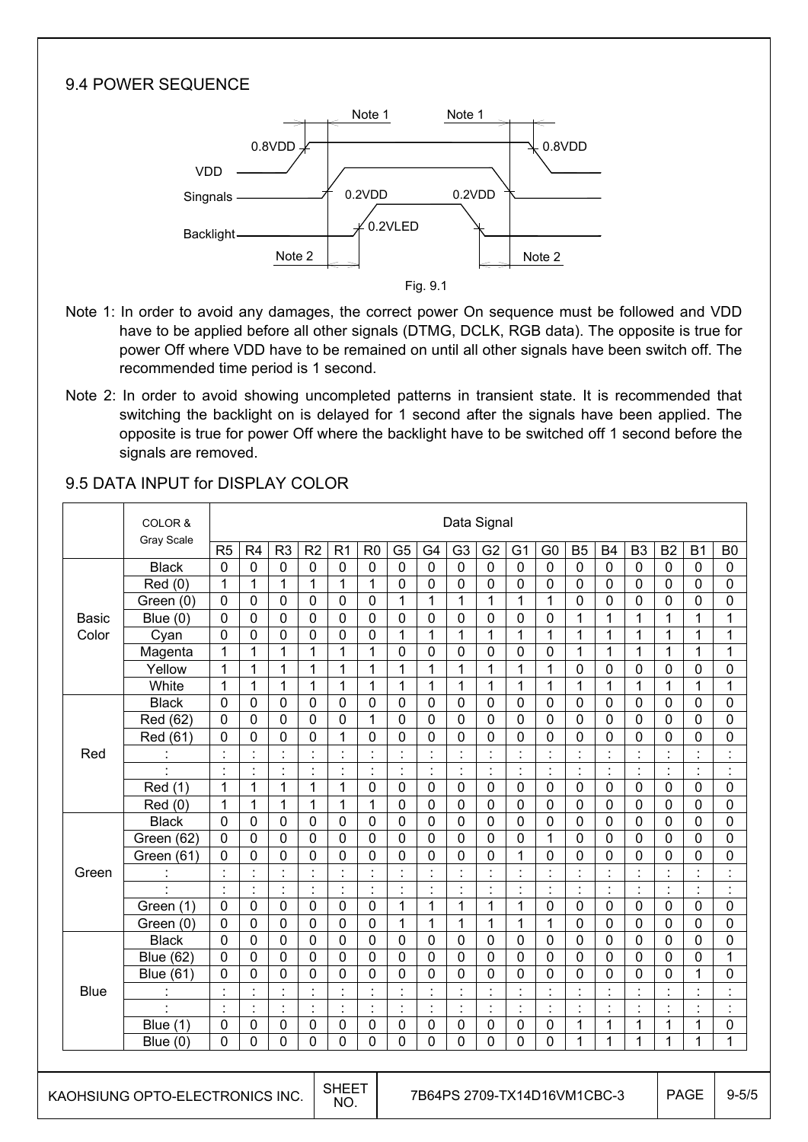### 9.4 POWER SEQUENCE



 Fig. 9.1

- Note 1: In order to avoid any damages, the correct power On sequence must be followed and VDD have to be applied before all other signals (DTMG, DCLK, RGB data). The opposite is true for power Off where VDD have to be remained on until all other signals have been switch off. The recommended time period is 1 second.
- Note 2: In order to avoid showing uncompleted patterns in transient state. It is recommended that switching the backlight on is delayed for 1 second after the signals have been applied. The opposite is true for power Off where the backlight have to be switched off 1 second before the signals are removed.

|              | COLOR &<br>Gray Scale           | Data Signal    |                      |                |                      |                |                      |                |                             |                |                      |                |                |                      |                |                |                      |                                  |                |
|--------------|---------------------------------|----------------|----------------------|----------------|----------------------|----------------|----------------------|----------------|-----------------------------|----------------|----------------------|----------------|----------------|----------------------|----------------|----------------|----------------------|----------------------------------|----------------|
|              |                                 | R5             | R <sub>4</sub>       | R <sub>3</sub> | R <sub>2</sub>       | R <sub>1</sub> | R <sub>0</sub>       | G <sub>5</sub> | G4                          | G <sub>3</sub> | G <sub>2</sub>       | G <sub>1</sub> | G <sub>0</sub> | <b>B5</b>            | <b>B4</b>      | B <sub>3</sub> | <b>B2</b>            | <b>B1</b>                        | B <sub>0</sub> |
|              | <b>Black</b>                    | $\mathbf 0$    | $\mathbf 0$          | $\mathbf 0$    | $\mathbf 0$          | $\mathbf 0$    | $\mathbf 0$          | $\mathbf 0$    | $\mathbf 0$                 | $\mathbf 0$    | $\mathbf 0$          | $\mathbf 0$    | $\mathbf 0$    | $\mathbf 0$          | $\mathbf 0$    | $\mathbf 0$    | $\mathbf 0$          | $\mathbf 0$                      | $\mathbf 0$    |
|              | Red(0)                          | $\mathbf{1}$   | $\mathbf 1$          | $\mathbf{1}$   | 1                    | $\mathbf{1}$   | 1                    | $\mathbf 0$    | $\mathbf 0$                 | 0              | 0                    | $\mathbf 0$    | $\mathbf 0$    | $\mathbf 0$          | $\mathbf 0$    | 0              | $\mathbf 0$          | $\mathbf{0}$                     | $\mathbf 0$    |
|              | Green (0)                       | $\mathbf 0$    | 0                    | $\mathbf 0$    | 0                    | 0              | $\mathbf 0$          | $\mathbf{1}$   | $\mathbf{1}$                | 1              | 1                    | 1              | $\mathbf{1}$   | 0                    | $\mathbf 0$    | 0              | 0                    | $\mathbf 0$                      | 0              |
| <b>Basic</b> | Blue $(0)$                      | $\mathbf 0$    | 0                    | $\overline{0}$ | $\overline{0}$       | $\overline{0}$ | $\mathbf 0$          | 0              | 0                           | $\overline{0}$ | 0                    | $\overline{0}$ | 0              | $\mathbf{1}$         | 1              | $\mathbf{1}$   | $\mathbf{1}$         | 1                                | 1              |
| Color        | Cyan                            | $\mathbf 0$    | 0                    | $\mathbf 0$    | 0                    | 0              | 0                    | $\mathbf{1}$   | $\mathbf{1}$                | $\mathbf{1}$   | $\mathbf{1}$         | 1              | $\mathbf{1}$   | 1                    | 1              | 1              | 1                    | 1                                | 1              |
|              | Magenta                         | 1              | $\mathbf{1}$         | 1              | $\mathbf{1}$         | 1              | 1                    | $\mathbf 0$    | 0                           | 0              | 0                    | 0              | 0              | 1                    | 1              | $\mathbf{1}$   | $\mathbf{1}$         | 1                                | 1              |
|              | Yellow                          | $\mathbf{1}$   | 1                    | $\mathbf{1}$   | 1                    | $\mathbf{1}$   | 1                    | $\mathbf{1}$   | $\mathbf{1}$                | $\mathbf{1}$   | 1                    | 1              | $\mathbf{1}$   | 0                    | 0              | 0              | 0                    | $\mathbf 0$                      | $\mathbf 0$    |
|              | White                           | 1              | $\mathbf{1}$         | 1              | 1                    | $\mathbf{1}$   | 1                    | $\mathbf{1}$   | $\mathbf{1}$                | $\mathbf{1}$   | $\mathbf{1}$         | 1              | 1              | 1                    | 1              | 1              | 1                    | $\mathbf{1}$                     | 1              |
|              | <b>Black</b>                    | 0              | 0                    | $\mathbf 0$    | 0                    | 0              | 0                    | 0              | 0                           | 0              | 0                    | $\mathbf 0$    | 0              | 0                    | 0              | 0              | 0                    | $\mathbf 0$                      | $\mathbf 0$    |
|              | Red (62)                        | $\mathbf 0$    | 0                    | $\mathbf 0$    | 0                    | $\mathbf 0$    | 1                    | $\mathbf 0$    | 0                           | 0              | 0                    | 0              | 0              | 0                    | 0              | 0              | 0                    | 0                                | $\mathbf{0}$   |
|              | Red (61)                        | $\mathbf{0}$   | 0                    | $\mathbf 0$    | 0                    | 1              | 0                    | 0              | $\mathbf 0$                 | 0              | 0                    | 0              | 0              | 0                    | $\mathbf 0$    | 0              | 0                    | 0                                | 0              |
| Red          | t,                              | $\cdot$        | $\cdot$              | $\blacksquare$ | $\blacksquare$       | $\cdot$        | $\blacksquare$       | $\blacksquare$ | $\cdot$<br>٠                | $\cdot$        | $\blacksquare$       | $\blacksquare$ | $\blacksquare$ | $\blacksquare$       | $\ddot{\cdot}$ | $\cdot$        | $\ddot{\cdot}$       | $\blacksquare$                   |                |
|              | $\blacksquare$                  | $\cdot$        | $\ddot{\cdot}$       | ÷,             | ċ                    | $\blacksquare$ | $\blacksquare$       | ÷,             | $\ddot{\cdot}$              | $\ddot{\cdot}$ | t                    | ÷,             | $\ddot{\cdot}$ | $\ddot{\phantom{a}}$ | $\ddot{\cdot}$ | $\ddot{\cdot}$ | $\ddot{\cdot}$       | ÷                                |                |
|              | Red (1)                         | 1              | $\mathbf 1$          | 1              | $\mathbf{1}$         | $\mathbf{1}$   | $\mathbf 0$          | $\overline{0}$ | $\overline{0}$              | 0              | 0                    | $\overline{0}$ | 0              | $\mathbf 0$          | $\mathbf 0$    | 0              | 0                    | $\mathbf 0$                      | $\mathbf 0$    |
|              | Red(0)                          | 1              | $\mathbf{1}$         | 1              | 1                    | $\mathbf{1}$   | 1                    | $\mathbf 0$    | 0                           | 0              | 0                    | $\mathbf 0$    | 0              | $\mathbf 0$          | $\mathbf 0$    | 0              | $\mathbf 0$          | $\mathbf 0$                      | $\mathbf 0$    |
|              | <b>Black</b>                    | $\mathbf 0$    | $\mathbf 0$          | $\mathbf 0$    | 0                    | $\mathbf 0$    | $\mathbf 0$          | $\mathbf 0$    | $\mathbf 0$                 | 0              | 0                    | 0              | $\mathbf 0$    | $\mathbf 0$          | $\mathbf 0$    | $\mathbf 0$    | $\mathbf 0$          | $\mathbf{0}$                     | $\mathbf 0$    |
|              | Green (62)                      | $\mathbf 0$    | 0                    | $\mathbf 0$    | $\mathbf 0$          | 0              | $\mathbf 0$          | $\mathbf 0$    | $\mathbf 0$                 | 0              | 0                    | $\mathbf 0$    | 1              | $\mathbf 0$          | $\mathbf 0$    | 0              | $\mathbf 0$          | $\mathbf 0$                      | $\mathbf 0$    |
|              | Green (61)                      | $\Omega$       | $\Omega$             | $\Omega$       | $\Omega$             | $\Omega$       | 0                    | 0              | $\Omega$                    | $\Omega$       | $\Omega$             | 1              | $\Omega$       | $\Omega$             | $\Omega$       | 0              | 0                    | $\Omega$                         | $\Omega$       |
| Green        | ÷                               | $\cdot$        | $\ddot{\cdot}$       | ċ              | ċ                    | $\blacksquare$ | $\ddot{\phantom{a}}$ | ÷,             | $\ddot{\cdot}$              | $\ddot{\cdot}$ | $\blacksquare$       | $\ddot{\cdot}$ | $\ddot{\cdot}$ | $\cdot$              | $\cdot$        | Ì.             | Ì.                   | $\blacksquare$                   |                |
|              | $\blacksquare$                  | $\blacksquare$ | $\ddot{\cdot}$       | Ì,             | $\ddot{\phantom{a}}$ | $\ddot{\cdot}$ | $\ddot{\phantom{a}}$ | $\ddot{\cdot}$ | $\cdot$<br>ä,               | $\cdot$        | $\blacksquare$<br>ä, | $\blacksquare$ | $\ddot{\cdot}$ | $\cdot$              | ÷,             | $\ddot{\cdot}$ | $\ddot{\cdot}$       | $\blacksquare$<br>$\blacksquare$ | $\cdot$        |
|              | Green (1)                       | $\mathbf{0}$   | $\Omega$             | $\mathbf 0$    | 0                    | $\mathbf 0$    | $\mathbf 0$          | 1              | $\mathbf{1}$                | 1              | 1                    | 1              | 0              | $\mathbf{0}$         | $\mathbf 0$    | $\mathbf 0$    | $\mathbf 0$          | $\mathbf{0}$                     | $\mathbf 0$    |
|              | Green (0)                       | $\mathbf 0$    | 0                    | $\mathbf 0$    | 0                    | $\mathbf 0$    | $\mathbf 0$          | $\mathbf{1}$   | $\mathbf{1}$                | 1              | 1                    | 1              | $\mathbf{1}$   | 0                    | $\mathbf 0$    | 0              | 0                    | 0                                | $\mathbf 0$    |
|              | <b>Black</b>                    | $\Omega$       | $\Omega$             | $\mathbf{0}$   | $\Omega$             | $\Omega$       | $\Omega$             | $\Omega$       | $\Omega$                    | $\Omega$       | $\Omega$             | $\Omega$       | $\Omega$       | $\Omega$             | $\Omega$       | 0              | $\Omega$             | $\Omega$                         | $\mathbf 0$    |
|              | <b>Blue (62)</b>                | $\mathbf 0$    | $\Omega$             | $\mathbf 0$    | 0                    | 0              | $\mathbf 0$          | 0              | 0                           | 0              | 0                    | $\mathbf 0$    | 0              | $\mathbf 0$          | $\mathbf 0$    | 0              | 0                    | 0                                | 1              |
|              | <b>Blue (61)</b>                | $\mathbf 0$    | 0                    | $\overline{0}$ | 0                    | 0              | $\mathbf 0$          | 0              | 0                           | 0              | 0                    | $\overline{0}$ | 0              | $\overline{0}$       | 0              | 0              | $\mathbf 0$          | $\mathbf{1}$                     | $\overline{0}$ |
| <b>Blue</b>  |                                 |                | $\ddot{\cdot}$       |                |                      |                |                      |                | $\ddot{\cdot}$              | $\ddot{\cdot}$ | Ì                    |                | $\ddot{\cdot}$ |                      | ÷,             | $\ddot{\cdot}$ | İ                    | t                                |                |
|              | $\blacksquare$                  | $\cdot$        | $\ddot{\phantom{a}}$ | ċ              | ċ                    | $\ddot{\cdot}$ | $\ddot{\cdot}$       | ÷              | $\ddot{\cdot}$              | $\ddot{\cdot}$ | ċ                    | $\cdot$        | $\ddot{\cdot}$ | $\ddot{\cdot}$       | ÷              | $\ddot{\cdot}$ | $\ddot{\phantom{a}}$ | $\blacksquare$                   |                |
|              | <b>Blue (1)</b>                 | $\mathbf 0$    | 0                    | $\mathbf 0$    | $\mathbf 0$          | $\mathbf 0$    | 0                    | $\mathbf 0$    | $\mathbf 0$                 | 0              | 0                    | 0              | 0              | 1                    | 1              | $\mathbf{1}$   | $\mathbf{1}$         | 1                                | $\mathbf 0$    |
|              | Blue $(0)$                      | $\mathbf{0}$   | $\Omega$             | 0              | 0                    | $\Omega$       | 0                    | $\Omega$       | 0                           | $\Omega$       | 0                    | $\Omega$       | 0              | 1                    | 1              | 1              | 1                    | 1                                | 1              |
|              |                                 |                |                      |                |                      |                |                      |                |                             |                |                      |                |                |                      |                |                |                      |                                  |                |
|              | KAOHSIUNG OPTO-ELECTRONICS INC. |                |                      |                | <b>SHEET</b><br>NO.  |                |                      |                | 7B64PS 2709-TX14D16VM1CBC-3 |                |                      |                |                |                      |                |                | <b>PAGE</b>          | $9 - 5/5$                        |                |

### 9.5 DATA INPUT for DISPLAY COLOR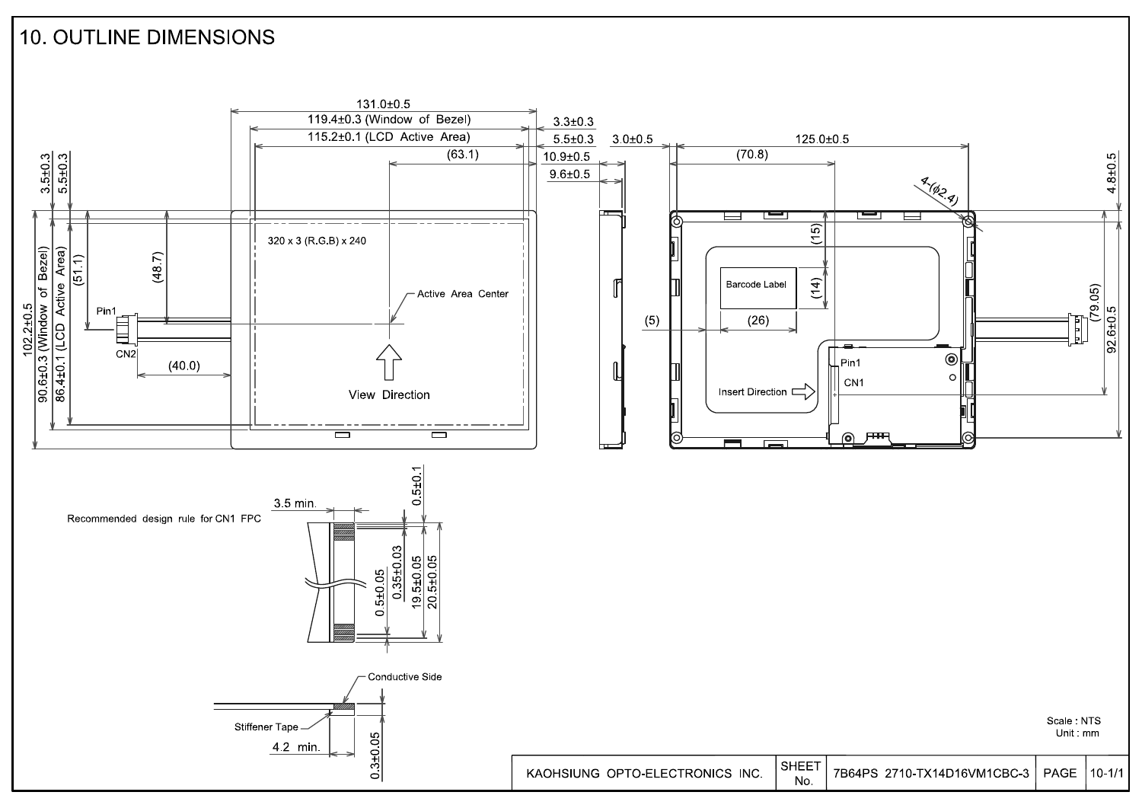### **10. OUTLINE DIMENSIONS**

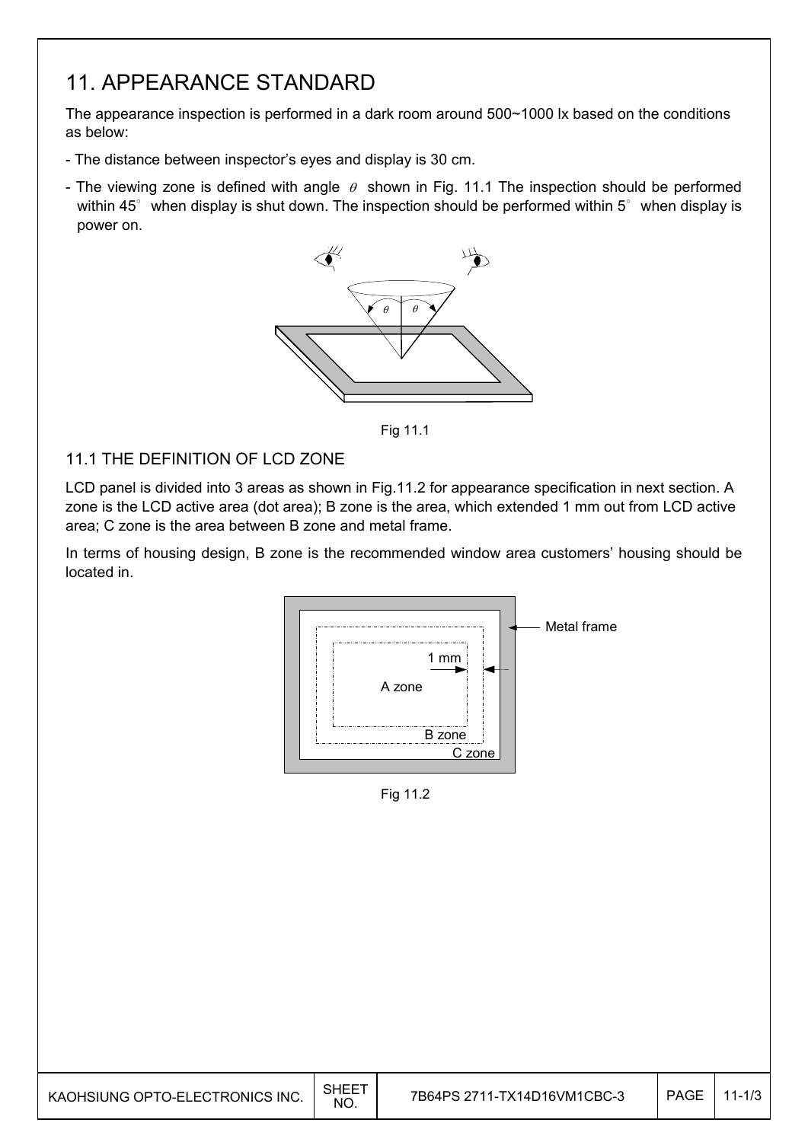## 11. APPEARANCE STANDARD

The appearance inspection is performed in a dark room around 500~1000 lx based on the conditions as below:

- The distance between inspector's eyes and display is 30 cm.
- The viewing zone is defined with angle  $\theta$  shown in Fig. 11.1 The inspection should be performed within 45 $^{\circ}$  when display is shut down. The inspection should be performed within 5 $^{\circ}$  when display is power on.



Fig. 11.1 Fig 11.1

### 11.1 THE DEFINITION OF LCD ZONE

LCD panel is divided into 3 areas as shown in Fig.11.2 for appearance specification in next section. A zone is the LCD active area (dot area); B zone is the area, which extended 1 mm out from LCD active area; C zone is the area between B zone and metal frame.

In terms of housing design, B zone is the recommended window area customers' housing should be located in.



Fig. 11.2 Fig 11.2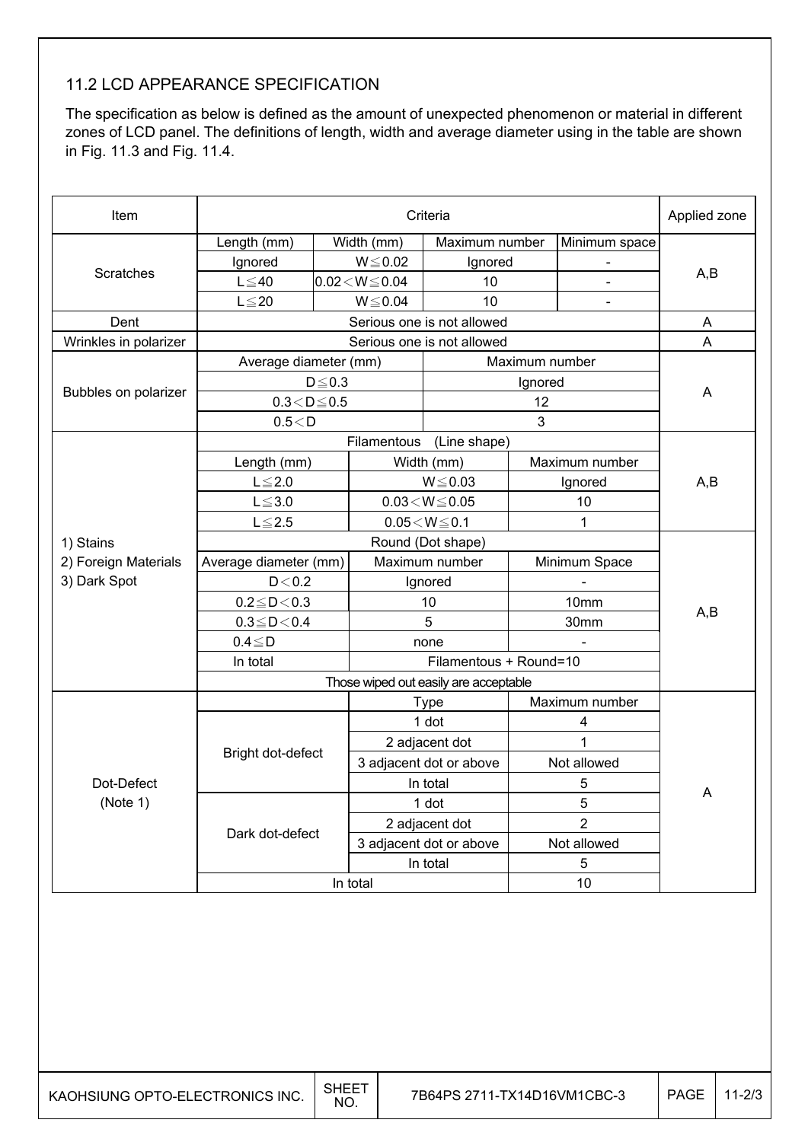### 11.2 LCD APPEARANCE SPECIFICATION

The specification as below is defined as the amount of unexpected phenomenon or material in different zones of LCD panel. The definitions of length, width and average diameter using in the table are shown in Fig. 11.3 and Fig. 11.4.

| Item                  |                            | Applied zone |                            |                            |                |                  |     |  |  |
|-----------------------|----------------------------|--------------|----------------------------|----------------------------|----------------|------------------|-----|--|--|
|                       | Length (mm)                |              | Width (mm)                 | Maximum number             |                | Minimum space    |     |  |  |
|                       | Ignored                    |              | $W \le 0.02$               | Ignored                    |                |                  |     |  |  |
| <b>Scratches</b>      | $L \leq 40$                |              | $0.02\!<\!W\!\!\leq\!0.04$ | 10                         |                |                  | A,B |  |  |
|                       | $L \leq 20$                |              | $W \le 0.04$               | 10                         |                | $\blacksquare$   |     |  |  |
| Dent                  |                            |              |                            | Serious one is not allowed |                |                  | A   |  |  |
| Wrinkles in polarizer |                            |              |                            | Serious one is not allowed |                |                  | A   |  |  |
|                       | Average diameter (mm)      |              |                            |                            | Maximum number |                  |     |  |  |
|                       |                            | $D \leq 0.3$ |                            |                            | Ignored        |                  |     |  |  |
| Bubbles on polarizer  | $0.3 < D \le 0.5$          |              |                            |                            | 12             |                  | A   |  |  |
|                       | 0.5 < D                    |              |                            |                            | 3              |                  |     |  |  |
|                       |                            |              |                            | Filamentous (Line shape)   |                |                  |     |  |  |
|                       | Length (mm)                |              |                            | Width (mm)                 |                | Maximum number   |     |  |  |
|                       | $L \leq 2.0$               |              | $W \le 0.03$               |                            | Ignored        |                  | A,B |  |  |
|                       | $L \le 3.0$                |              | $0.03\!<\!W\!\leq\!0.05$   |                            | 10             |                  |     |  |  |
|                       | $L \leq 2.5$               |              |                            | $0.05 < W \le 0.1$         |                | 1                |     |  |  |
| 1) Stains             |                            |              |                            |                            |                |                  |     |  |  |
| 2) Foreign Materials  | Average diameter (mm)      |              |                            | Maximum number             |                | Minimum Space    |     |  |  |
| 3) Dark Spot          | D < 0.2                    |              |                            | Ignored                    |                |                  |     |  |  |
|                       | $0.2 \!\leq\! D \!<\! 0.3$ |              | 10                         |                            |                | 10 <sub>mm</sub> | A,B |  |  |
|                       | $0.3 \le D < 0.4$          |              |                            | 5                          |                | 30mm             |     |  |  |
|                       | $0.4 \leq D$               |              |                            | none                       |                |                  |     |  |  |
|                       | In total                   |              |                            |                            |                |                  |     |  |  |
|                       |                            |              |                            |                            |                |                  |     |  |  |
|                       |                            |              | <b>Type</b>                |                            | Maximum number |                  |     |  |  |
|                       |                            |              |                            | 1 dot                      | 4              |                  |     |  |  |
|                       | Bright dot-defect          |              |                            | 2 adjacent dot             |                | 1                |     |  |  |
|                       |                            |              |                            | 3 adjacent dot or above    |                | Not allowed      |     |  |  |
| Dot-Defect            |                            |              | In total                   |                            | 5              |                  | Α   |  |  |
| (Note 1)              |                            |              |                            | 1 dot                      | 5              |                  |     |  |  |
|                       | Dark dot-defect            |              |                            | 2 adjacent dot             | $\overline{2}$ |                  |     |  |  |
|                       |                            |              |                            | 3 adjacent dot or above    |                | Not allowed      |     |  |  |
|                       |                            |              | In total                   |                            | 5              |                  |     |  |  |
|                       | In total                   |              |                            |                            |                | 10               |     |  |  |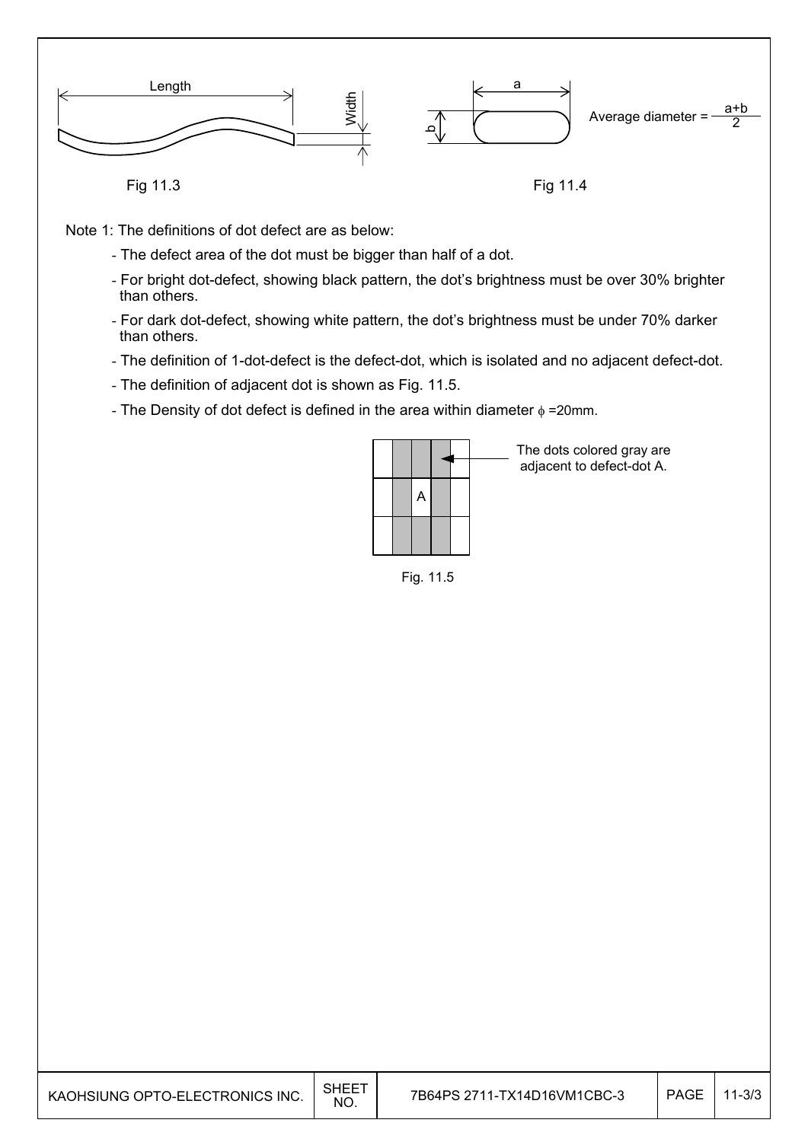

- Note 1: The definitions of dot defect are as below:
	- The defect area of the dot must be bigger than half of a dot.
	- For bright dot-defect, showing black pattern, the dot's brightness must be over 30% brighter than others.
	- For dark dot-defect, showing white pattern, the dot's brightness must be under 70% darker than others.
	- The definition of 1-dot-defect is the defect-dot, which is isolated and no adjacent defect-dot.
	- The definition of adjacent dot is shown as Fig. 11.5.
	- The Density of dot defect is defined in the area within diameter  $\phi$  =20mm.



The dots colored gray are adjacent to defect-dot A.

Fig. 11.5

| KAOHSIUNG OPTO-ELECTRONICS INC. | SHEE<br><b>NO</b> | 7B64PS 2711-TX14D16VM1CBC-3 | PAGE | $11 - 3/3$ |
|---------------------------------|-------------------|-----------------------------|------|------------|
|---------------------------------|-------------------|-----------------------------|------|------------|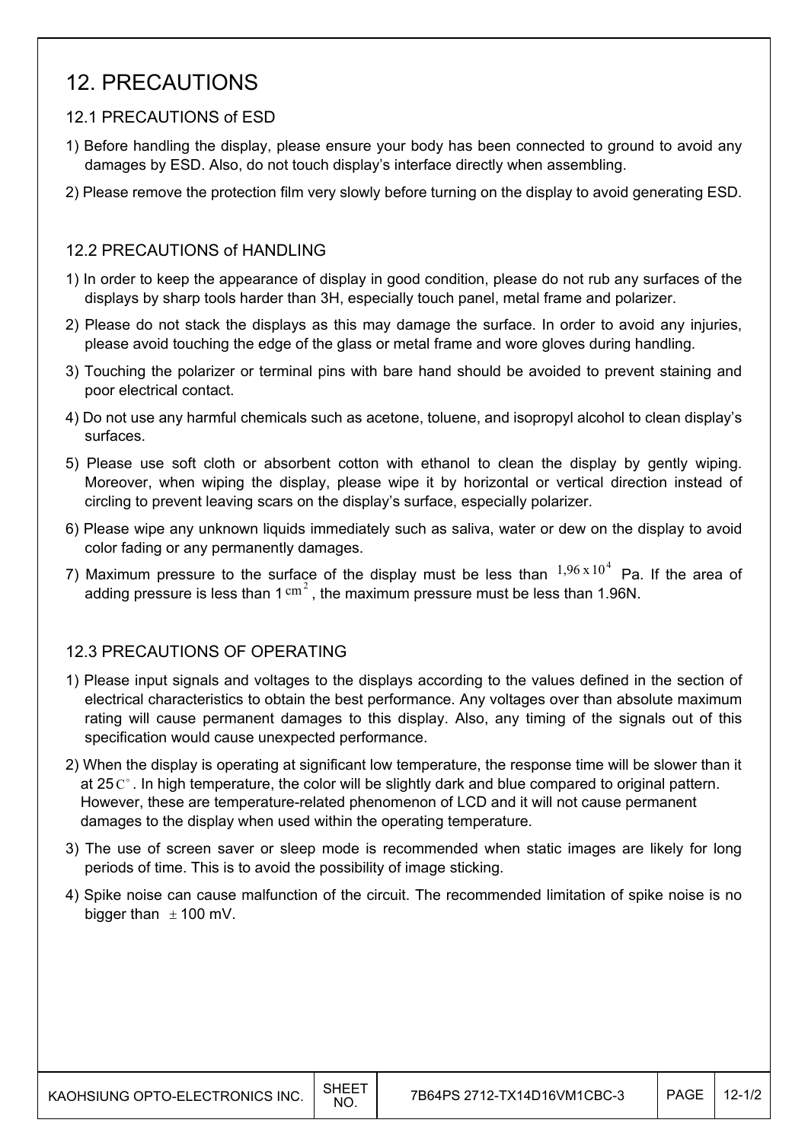## 12. PRECAUTIONS

### 12.1 PRECAUTIONS of ESD

- 1) Before handling the display, please ensure your body has been connected to ground to avoid any damages by ESD. Also, do not touch display's interface directly when assembling.
- 2) Please remove the protection film very slowly before turning on the display to avoid generating ESD.

#### 12.2 PRECAUTIONS of HANDLING

- 1) In order to keep the appearance of display in good condition, please do not rub any surfaces of the displays by sharp tools harder than 3H, especially touch panel, metal frame and polarizer.
- 2) Please do not stack the displays as this may damage the surface. In order to avoid any injuries, please avoid touching the edge of the glass or metal frame and wore gloves during handling.
- 3) Touching the polarizer or terminal pins with bare hand should be avoided to prevent staining and poor electrical contact.
- 4) Do not use any harmful chemicals such as acetone, toluene, and isopropyl alcohol to clean display's surfaces.
- 5) Please use soft cloth or absorbent cotton with ethanol to clean the display by gently wiping. Moreover, when wiping the display, please wipe it by horizontal or vertical direction instead of circling to prevent leaving scars on the display's surface, especially polarizer.
- 6) Please wipe any unknown liquids immediately such as saliva, water or dew on the display to avoid color fading or any permanently damages.
- 7) Maximum pressure to the surface of the display must be less than  $1,96 \times 10^4$  Pa. If the area of adding pressure is less than  $1 \text{ cm}^2$ , the maximum pressure must be less than 1.96N.

### 12.3 PRECAUTIONS OF OPERATING

- 1) Please input signals and voltages to the displays according to the values defined in the section of electrical characteristics to obtain the best performance. Any voltages over than absolute maximum rating will cause permanent damages to this display. Also, any timing of the signals out of this specification would cause unexpected performance.
- 2) When the display is operating at significant low temperature, the response time will be slower than it at 25 $\degree$ . In high temperature, the color will be slightly dark and blue compared to original pattern. However, these are temperature-related phenomenon of LCD and it will not cause permanent damages to the display when used within the operating temperature.
- 3) The use of screen saver or sleep mode is recommended when static images are likely for long periods of time. This is to avoid the possibility of image sticking.
- 4) Spike noise can cause malfunction of the circuit. The recommended limitation of spike noise is no bigger than  $\pm$  100 mV.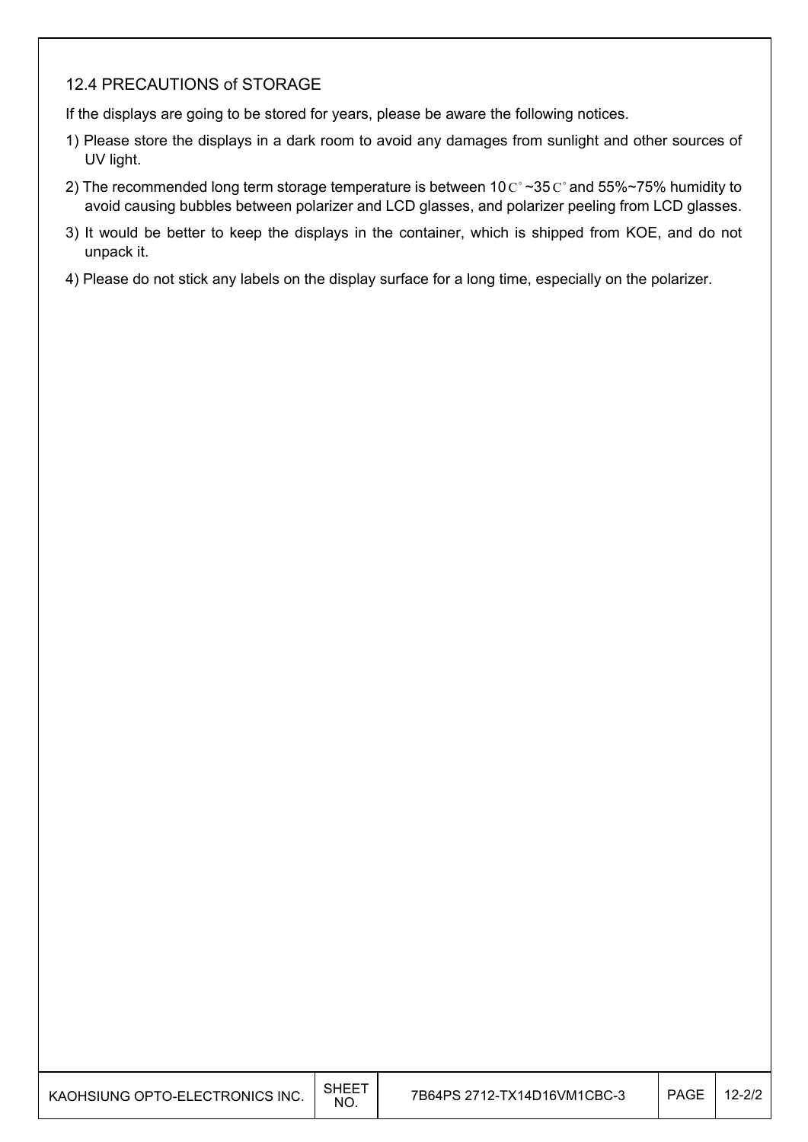### 12.4 PRECAUTIONS of STORAGE

If the displays are going to be stored for years, please be aware the following notices.

- 1) Please store the displays in a dark room to avoid any damages from sunlight and other sources of UV light.
- 2) The recommended long term storage temperature is between  $10 \degree \degree 35 \degree \degree 35 \degree \degree 75\%$  humidity to avoid causing bubbles between polarizer and LCD glasses, and polarizer peeling from LCD glasses.
- 3) It would be better to keep the displays in the container, which is shipped from KOE, and do not unpack it.
- 4) Please do not stick any labels on the display surface for a long time, especially on the polarizer.

| KAOHSIUNG OPTO-ELECTRONICS INC. | SHEET<br>NO. | 7B64PS 2712-TX14D16VM1CBC-3 | <b>PAGE</b> | $2 - 2/2$ |
|---------------------------------|--------------|-----------------------------|-------------|-----------|